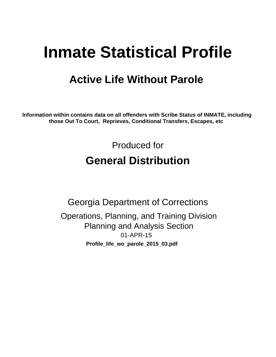# **Inmate Statistical Profile**

# **Active Life Without Parole**

Information within contains data on all offenders with Scribe Status of INMATE, including those Out To Court, Reprieves, Conditional Transfers, Escapes, etc

> Produced for **General Distribution**

**Georgia Department of Corrections** Operations, Planning, and Training Division **Planning and Analysis Section** 01-APR-15 Profile\_life\_wo\_parole\_2015\_03.pdf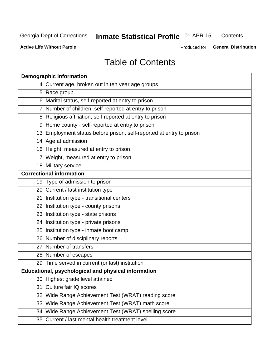#### **Inmate Statistical Profile 01-APR-15** Contents

**Active Life Without Parole** 

Produced for General Distribution

# **Table of Contents**

|    | <b>Demographic information</b>                                       |
|----|----------------------------------------------------------------------|
|    | 4 Current age, broken out in ten year age groups                     |
|    | 5 Race group                                                         |
|    | 6 Marital status, self-reported at entry to prison                   |
|    | 7 Number of children, self-reported at entry to prison               |
|    | 8 Religious affiliation, self-reported at entry to prison            |
|    | 9 Home county - self-reported at entry to prison                     |
|    | 13 Employment status before prison, self-reported at entry to prison |
|    | 14 Age at admission                                                  |
|    | 16 Height, measured at entry to prison                               |
|    | 17 Weight, measured at entry to prison                               |
|    | 18 Military service                                                  |
|    | <b>Correctional information</b>                                      |
|    | 19 Type of admission to prison                                       |
|    | 20 Current / last institution type                                   |
|    | 21 Institution type - transitional centers                           |
|    | 22 Institution type - county prisons                                 |
|    | 23 Institution type - state prisons                                  |
|    | 24 Institution type - private prisons                                |
|    | 25 Institution type - inmate boot camp                               |
|    | 26 Number of disciplinary reports                                    |
|    | 27 Number of transfers                                               |
|    | 28 Number of escapes                                                 |
|    | 29 Time served in current (or last) institution                      |
|    | Educational, psychological and physical information                  |
|    | 30 Highest grade level attained                                      |
| 31 | Culture fair IQ scores                                               |
|    | 32 Wide Range Achievement Test (WRAT) reading score                  |
|    | 33 Wide Range Achievement Test (WRAT) math score                     |
|    | 34 Wide Range Achievement Test (WRAT) spelling score                 |
|    | 35 Current / last mental health treatment level                      |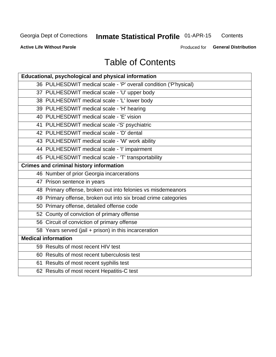# **Inmate Statistical Profile 01-APR-15**

Contents

**Active Life Without Parole** 

Produced for General Distribution

# **Table of Contents**

| <b>Educational, psychological and physical information</b>       |
|------------------------------------------------------------------|
| 36 PULHESDWIT medical scale - 'P' overall condition ('P'hysical) |
| 37 PULHESDWIT medical scale - 'U' upper body                     |
| 38 PULHESDWIT medical scale - 'L' lower body                     |
| 39 PULHESDWIT medical scale - 'H' hearing                        |
| 40 PULHESDWIT medical scale - 'E' vision                         |
| 41 PULHESDWIT medical scale -'S' psychiatric                     |
| 42 PULHESDWIT medical scale - 'D' dental                         |
| 43 PULHESDWIT medical scale - 'W' work ability                   |
| 44 PULHESDWIT medical scale - 'I' impairment                     |
| 45 PULHESDWIT medical scale - 'T' transportability               |
| <b>Crimes and criminal history information</b>                   |
| 46 Number of prior Georgia incarcerations                        |
| 47 Prison sentence in years                                      |
| 48 Primary offense, broken out into felonies vs misdemeanors     |
| 49 Primary offense, broken out into six broad crime categories   |
| 50 Primary offense, detailed offense code                        |
| 52 County of conviction of primary offense                       |
| 56 Circuit of conviction of primary offense                      |
| 58 Years served (jail + prison) in this incarceration            |
| <b>Medical information</b>                                       |
| 59 Results of most recent HIV test                               |
| 60 Results of most recent tuberculosis test                      |
| 61 Results of most recent syphilis test                          |
| 62 Results of most recent Hepatitis-C test                       |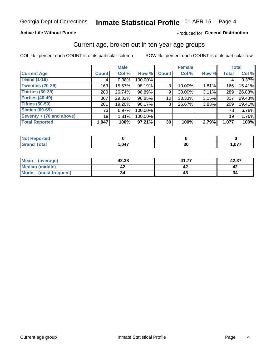### **Active Life Without Parole**

### Produced for General Distribution

### Current age, broken out in ten-year age groups

COL % - percent each COUNT is of its particular column

|                          |              | <b>Male</b> |           |                 | <b>Female</b> |          |              | <b>Total</b> |
|--------------------------|--------------|-------------|-----------|-----------------|---------------|----------|--------------|--------------|
| <b>Current Age</b>       | <b>Count</b> | Col %       | Row %     | <b>Count</b>    | Col %         | Row %    | <b>Total</b> | Col %        |
| <b>Teens (1-19)</b>      | 4            | 0.38%       | 100.00%   |                 |               |          | 4            | 0.37%        |
| <b>Twenties (20-29)</b>  | 163          | 15.57%      | 98.19%    | 3               | 10.00%        | $1.81\%$ | 166          | 15.41%       |
| Thirties (30-39)         | 280          | 26.74%      | 96.89%    | 9               | 30.00%        | 3.11%    | 289          | 26.83%       |
| <b>Forties (40-49)</b>   | 307          | 29.32%      | 96.85%    | 10              | $33.33\%$     | $3.15\%$ | 317          | 29.43%       |
| <b>Fifties (50-59)</b>   | 201          | 19.20%      | 96.17%    | 8               | 26.67%        | 3.83%    | 209          | 19.41%       |
| <b>Sixties (60-69)</b>   | 73           | 6.97%       | 100.00%   |                 |               |          | 73           | 6.78%        |
| Seventy + (70 and above) | 19           | 1.81%       | 100.00%   |                 |               |          | 19           | 1.76%        |
| <b>Total Reported</b>    | 1,047        | 100%        | $97.21\%$ | 30 <sub>1</sub> | 100%          | 2.79%    | 1,077        | 100%         |

| المستحدث بالمسار      |                   |    |            |
|-----------------------|-------------------|----|------------|
| $f \wedge f \wedge f$ | .047<br><u>тн</u> | vu | <b>077</b> |

| Mean<br>(average)              | 42.38 | 41.7.<br>ァ | 42.37 |
|--------------------------------|-------|------------|-------|
| Median (middle)                |       |            |       |
| <b>Mode</b><br>(most frequent) | 34    |            | 34    |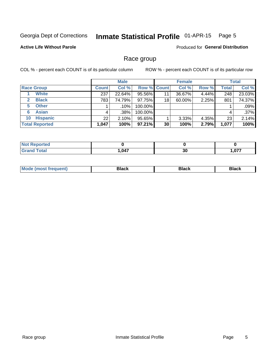#### Inmate Statistical Profile 01-APR-15 Page 5

### **Active Life Without Parole**

Produced for General Distribution

### Race group

COL % - percent each COUNT is of its particular column

|                              | <b>Male</b>  |        |                    | <b>Female</b> |        |       | <b>Total</b> |        |
|------------------------------|--------------|--------|--------------------|---------------|--------|-------|--------------|--------|
| <b>Race Group</b>            | <b>Count</b> | Col %  | <b>Row % Count</b> |               | Col %  | Row % | <b>Total</b> | Col %  |
| <b>White</b>                 | 237          | 22.64% | 95.56%             | 11            | 36.67% | 4.44% | 248          | 23.03% |
| <b>Black</b><br>$\mathbf{2}$ | 783          | 74.79% | 97.75%             | 18            | 60.00% | 2.25% | 801          | 74.37% |
| <b>Other</b><br>5.           |              | .10%   | 100.00%            |               |        |       |              | .09%   |
| <b>Asian</b><br>6            | 4            | .38%   | 100.00%            |               |        |       | 4            | .37%   |
| <b>Hispanic</b><br>10        | 22           | 2.10%  | 95.65%             |               | 3.33%  | 4.35% | 23           | 2.14%  |
| <b>Total Reported</b>        | 1,047        | 100%   | $97.21\%$          | 30            | 100%   | 2.79% | 1,077        | 100%   |

| rted         |      |    |        |
|--------------|------|----|--------|
| <b>Total</b> | .047 | 30 | $\sim$ |

| M |  |  |
|---|--|--|
|   |  |  |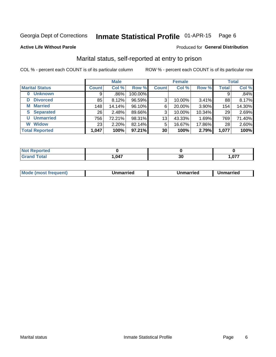#### Inmate Statistical Profile 01-APR-15 Page 6

#### **Active Life Without Parole**

### **Produced for General Distribution**

## Marital status, self-reported at entry to prison

COL % - percent each COUNT is of its particular column

|                            |                 | <b>Male</b> |         |              | <b>Female</b> |        |              | <b>Total</b> |
|----------------------------|-----------------|-------------|---------|--------------|---------------|--------|--------------|--------------|
| <b>Marital Status</b>      | <b>Count</b>    | Col %       | Row %   | <b>Count</b> | Col %         | Row %  | <b>Total</b> | Col %        |
| <b>Unknown</b><br>$\bf{0}$ | 9               | .86%        | 100.00% |              |               |        | 9            | .84%         |
| <b>Divorced</b><br>D       | 85              | 8.12%       | 96.59%  | 3            | 10.00%        | 3.41%  | 88           | 8.17%        |
| <b>Married</b><br>М        | 148             | 14.14%      | 96.10%  | 6            | 20.00%        | 3.90%  | 154          | 14.30%       |
| <b>Separated</b><br>S      | 26 <sub>1</sub> | 2.48%       | 89.66%  | 3            | 10.00%        | 10.34% | 29           | 2.69%        |
| <b>Unmarried</b><br>U      | 756             | 72.21%      | 98.31%  | 13           | 43.33%        | 1.69%  | 769          | 71.40%       |
| <b>Widow</b><br>W          | 23 <sub>1</sub> | 2.20%       | 82.14%  | 5            | 16.67%        | 17.86% | 28           | 2.60%        |
| <b>Total Reported</b>      | 1,047           | 100%        | 97.21%  | 30           | 100%          | 2.79%  | 1,077        | 100%         |

| rtea<br>NO |      |    |                    |
|------------|------|----|--------------------|
|            | ,047 | งบ | $\sim$<br>I .V / 1 |

|  | Mo | ımarrıed | Unmarried | Unmarried |
|--|----|----------|-----------|-----------|
|--|----|----------|-----------|-----------|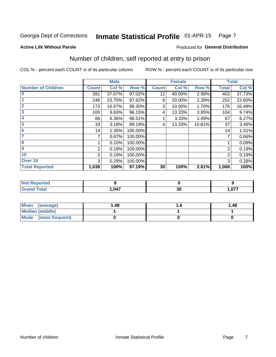#### Inmate Statistical Profile 01-APR-15 Page 7

#### **Active Life Without Parole**

### **Produced for General Distribution**

# Number of children, self reported at entry to prison

COL % - percent each COUNT is of its particular column

|                           |                | <b>Male</b> |         |              | <b>Female</b> |        |              | <b>Total</b> |
|---------------------------|----------------|-------------|---------|--------------|---------------|--------|--------------|--------------|
| <b>Number of Children</b> | <b>Count</b>   | Col %       | Row %   | <b>Count</b> | Col %         | Row %  | <b>Total</b> | Col %        |
| $\bf{0}$                  | 391            | 37.67%      | 97.02%  | 12           | 40.00%        | 2.98%  | 403          | 37.73%       |
|                           | 246            | 23.70%      | 97.62%  | 6            | 20.00%        | 2.38%  | 252          | 23.60%       |
| $\overline{2}$            | 173            | 16.67%      | 98.30%  | 3            | 10.00%        | 1.70%  | 176          | 16.48%       |
| 3                         | 100            | 9.63%       | 96.15%  | 4            | 13.33%        | 3.85%  | 104          | 9.74%        |
| 4                         | 66             | 6.36%       | 98.51%  |              | 3.33%         | 1.49%  | 67           | 6.27%        |
| 5                         | 33             | 3.18%       | 89.19%  | 4            | 13.33%        | 10.81% | 37           | 3.46%        |
| $6\phantom{1}6$           | 14             | 1.35%       | 100.00% |              |               |        | 14           | 1.31%        |
| 7                         |                | 0.67%       | 100.00% |              |               |        | 7            | 0.66%        |
| $\overline{\mathbf{8}}$   |                | 0.10%       | 100.00% |              |               |        |              | 0.09%        |
| $\boldsymbol{9}$          | 2              | 0.19%       | 100.00% |              |               |        | 2            | 0.19%        |
| 10                        | $\overline{2}$ | 0.19%       | 100.00% |              |               |        | 2            | 0.19%        |
| Over 10                   | 3              | 0.29%       | 100.00% |              |               |        | 3            | 0.28%        |
| <b>Total Reported</b>     | 1,038          | 100%        | 97.19%  | 30           | 100%          | 2.81%  | 1,068        | 100%         |

| rreo           |      |                |            |
|----------------|------|----------------|------------|
| Jtal<br>$\sim$ | ,047 | - -<br>-<br>งบ | 077<br>.v. |

| Mean (average)         | 1.48 | 1.48 |
|------------------------|------|------|
| <b>Median (middle)</b> |      |      |
| Mode (most frequent)   |      |      |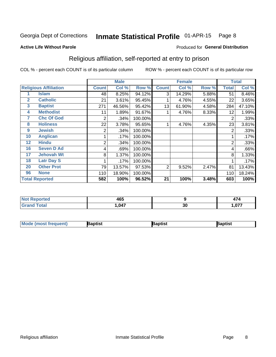#### Inmate Statistical Profile 01-APR-15 Page 8

#### **Active Life Without Parole**

### Produced for General Distribution

## Religious affiliation, self-reported at entry to prison

COL % - percent each COUNT is of its particular column

|              |                              | <b>Male</b>  |        |         | <b>Female</b> |        |       | <b>Total</b> |        |
|--------------|------------------------------|--------------|--------|---------|---------------|--------|-------|--------------|--------|
|              | <b>Religious Affiliation</b> | <b>Count</b> | Col %  | Row %   | <b>Count</b>  | Col %  | Row % | Total        | Col %  |
|              | <b>Islam</b>                 | 48           | 8.25%  | 94.12%  | 3             | 14.29% | 5.88% | 51           | 8.46%  |
| $\mathbf{2}$ | <b>Catholic</b>              | 21           | 3.61%  | 95.45%  |               | 4.76%  | 4.55% | 22           | 3.65%  |
| 3            | <b>Baptist</b>               | 271          | 46.56% | 95.42%  | 13            | 61.90% | 4.58% | 284          | 47.10% |
| 4            | <b>Methodist</b>             | 11           | 1.89%  | 91.67%  |               | 4.76%  | 8.33% | 12           | 1.99%  |
| 7            | <b>Chc Of God</b>            | 2            | .34%   | 100.00% |               |        |       | 2            | .33%   |
| 8            | <b>Holiness</b>              | 22           | 3.78%  | 95.65%  |               | 4.76%  | 4.35% | 23           | 3.81%  |
| 9            | <b>Jewish</b>                | 2            | .34%   | 100.00% |               |        |       | 2            | .33%   |
| 10           | <b>Anglican</b>              |              | .17%   | 100.00% |               |        |       |              | .17%   |
| 12           | <b>Hindu</b>                 | 2            | .34%   | 100.00% |               |        |       | 2            | .33%   |
| 16           | <b>Seven D Ad</b>            | 4            | .69%   | 100.00% |               |        |       | 4            | .66%   |
| 17           | <b>Jehovah Wt</b>            | 8            | 1.37%  | 100.00% |               |        |       | 8            | 1.33%  |
| 18           | <b>Latr Day S</b>            |              | .17%   | 100.00% |               |        |       |              | .17%   |
| 20           | <b>Other Prot</b>            | 79           | 13.57% | 97.53%  | 2             | 9.52%  | 2.47% | 81           | 13.43% |
| 96           | <b>None</b>                  | 110          | 18.90% | 100.00% |               |        |       | 110          | 18.24% |
|              | <b>Total Reported</b>        | 582          | 100%   | 96.52%  | 21            | 100%   | 3.48% | 603          | 100%   |

| ortea<br>י ישטרו<br>$\sim$ | $\sqrt{2}$<br>טו    |    | $\rightarrow$<br>A |
|----------------------------|---------------------|----|--------------------|
| $f \wedge f \wedge f$      | <b>047</b><br>,,,,, | 30 | .077               |

| <b>Mode (most frequent)</b> | Baptist | Baptist | Baptist |
|-----------------------------|---------|---------|---------|
|-----------------------------|---------|---------|---------|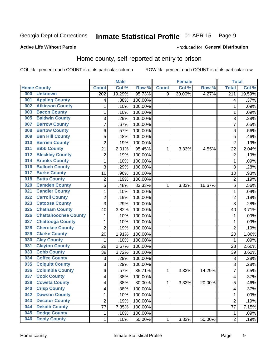#### Inmate Statistical Profile 01-APR-15 Page 9

### **Active Life Without Parole**

### **Produced for General Distribution**

## Home county, self-reported at entry to prison

COL % - percent each COUNT is of its particular column

|     |                             |                         | <b>Male</b> |         |              | <b>Female</b> |        | <b>Total</b>     |        |
|-----|-----------------------------|-------------------------|-------------|---------|--------------|---------------|--------|------------------|--------|
|     | <b>Home County</b>          | <b>Count</b>            | Col %       | Row %   | <b>Count</b> | Col %         | Row %  | <b>Total</b>     | Col %  |
| 000 | <b>Unknown</b>              | $\overline{202}$        | 19.29%      | 95.73%  | 9            | 30.00%        | 4.27%  | $\overline{211}$ | 19.59% |
| 001 | <b>Appling County</b>       | 4                       | .38%        | 100.00% |              |               |        | 4                | .37%   |
| 002 | <b>Atkinson County</b>      | $\mathbf 1$             | .10%        | 100.00% |              |               |        | 1                | .09%   |
| 003 | <b>Bacon County</b>         | $\mathbf 1$             | .10%        | 100.00% |              |               |        | 1                | .09%   |
| 005 | <b>Baldwin County</b>       | 3                       | .29%        | 100.00% |              |               |        | 3                | .28%   |
| 007 | <b>Barrow County</b>        | $\overline{7}$          | .67%        | 100.00% |              |               |        | 7                | .65%   |
| 008 | <b>Bartow County</b>        | 6                       | .57%        | 100.00% |              |               |        | 6                | .56%   |
| 009 | <b>Ben Hill County</b>      | 5                       | .48%        | 100.00% |              |               |        | 5                | .46%   |
| 010 | <b>Berrien County</b>       | $\overline{2}$          | .19%        | 100.00% |              |               |        | $\overline{2}$   | .19%   |
| 011 | <b>Bibb County</b>          | 21                      | 2.01%       | 95.45%  | 1            | 3.33%         | 4.55%  | 22               | 2.04%  |
| 012 | <b>Bleckley County</b>      | $\overline{c}$          | .19%        | 100.00% |              |               |        | $\overline{2}$   | .19%   |
| 014 | <b>Brooks County</b>        | 1                       | .10%        | 100.00% |              |               |        | 1                | .09%   |
| 016 | <b>Bulloch County</b>       | 3                       | .29%        | 100.00% |              |               |        | 3                | .28%   |
| 017 | <b>Burke County</b>         | 10                      | .96%        | 100.00% |              |               |        | 10               | .93%   |
| 018 | <b>Butts County</b>         | $\overline{2}$          | .19%        | 100.00% |              |               |        | $\overline{2}$   | .19%   |
| 020 | <b>Camden County</b>        | 5                       | .48%        | 83.33%  | 1            | 3.33%         | 16.67% | 6                | .56%   |
| 021 | <b>Candler County</b>       | $\mathbf 1$             | .10%        | 100.00% |              |               |        | 1                | .09%   |
| 022 | <b>Carroll County</b>       | $\overline{c}$          | .19%        | 100.00% |              |               |        | $\overline{2}$   | .19%   |
| 023 | <b>Catoosa County</b>       | 3                       | .29%        | 100.00% |              |               |        | 3                | .28%   |
| 025 | <b>Chatham County</b>       | 40                      | 3.82%       | 100.00% |              |               |        | 40               | 3.71%  |
| 026 | <b>Chattahoochee County</b> | $\mathbf 1$             | .10%        | 100.00% |              |               |        | 1                | .09%   |
| 027 | <b>Chattooga County</b>     | $\mathbf 1$             | .10%        | 100.00% |              |               |        | 1                | .09%   |
| 028 | <b>Cherokee County</b>      | $\overline{2}$          | .19%        | 100.00% |              |               |        | $\overline{2}$   | .19%   |
| 029 | <b>Clarke County</b>        | 20                      | 1.91%       | 100.00% |              |               |        | 20               | 1.86%  |
| 030 | <b>Clay County</b>          | $\mathbf 1$             | .10%        | 100.00% |              |               |        | 1                | .09%   |
| 031 | <b>Clayton County</b>       | 28                      | 2.67%       | 100.00% |              |               |        | 28               | 2.60%  |
| 033 | <b>Cobb County</b>          | 39                      | 3.72%       | 100.00% |              |               |        | 39               | 3.62%  |
| 034 | <b>Coffee County</b>        | 3                       | .29%        | 100.00% |              |               |        | 3                | .28%   |
| 035 | <b>Colquitt County</b>      | 3                       | .29%        | 100.00% |              |               |        | 3                | .28%   |
| 036 | <b>Columbia County</b>      | 6                       | .57%        | 85.71%  | 1            | 3.33%         | 14.29% | 7                | .65%   |
| 037 | <b>Cook County</b>          | $\overline{\mathbf{4}}$ | .38%        | 100.00% |              |               |        | 4                | .37%   |
| 038 | <b>Coweta County</b>        | 4                       | .38%        | 80.00%  | 1            | 3.33%         | 20.00% | 5                | .46%   |
| 040 | <b>Crisp County</b>         | $\overline{\mathbf{4}}$ | .38%        | 100.00% |              |               |        | 4                | .37%   |
| 042 | <b>Dawson County</b>        | 1                       | .10%        | 100.00% |              |               |        | 1                | .09%   |
| 043 | <b>Decatur County</b>       | $\overline{c}$          | .19%        | 100.00% |              |               |        | $\overline{2}$   | .19%   |
| 044 | <b>Dekalb County</b>        | 77                      | 7.35%       | 100.00% |              |               |        | 77               | 7.15%  |
| 045 | <b>Dodge County</b>         | $\mathbf 1$             | .10%        | 100.00% |              |               |        | 1                | .09%   |
| 046 | <b>Dooly County</b>         | $\mathbf{1}$            | .10%        | 50.00%  | $\mathbf 1$  | 3.33%         | 50.00% | $\overline{2}$   | .19%   |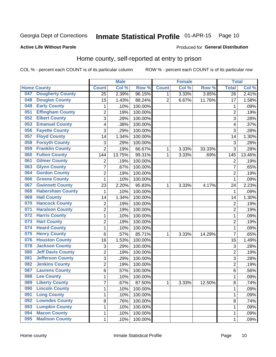#### Inmate Statistical Profile 01-APR-15 Page 10

### **Active Life Without Parole**

#### Produced for General Distribution

## Home county, self-reported at entry to prison

COL % - percent each COUNT is of its particular column

|     |                          |                | <b>Male</b> |         |                | <b>Female</b> |        | <b>Total</b>   |        |
|-----|--------------------------|----------------|-------------|---------|----------------|---------------|--------|----------------|--------|
|     | <b>Home County</b>       | <b>Count</b>   | Col %       | Row %   | <b>Count</b>   | Col %         | Row %  | <b>Total</b>   | Col %  |
| 047 | <b>Dougherty County</b>  | 25             | 2.39%       | 96.15%  | 1              | 3.33%         | 3.85%  | 26             | 2.41%  |
| 048 | <b>Douglas County</b>    | 15             | 1.43%       | 88.24%  | $\overline{2}$ | 6.67%         | 11.76% | 17             | 1.58%  |
| 049 | <b>Early County</b>      | 1              | .10%        | 100.00% |                |               |        | 1              | .09%   |
| 051 | <b>Effingham County</b>  | $\overline{c}$ | .19%        | 100.00% |                |               |        | $\overline{2}$ | .19%   |
| 052 | <b>Elbert County</b>     | 3              | .29%        | 100.00% |                |               |        | 3              | .28%   |
| 053 | <b>Emanuel County</b>    | 4              | .38%        | 100.00% |                |               |        | 4              | .37%   |
| 056 | <b>Fayette County</b>    | 3              | .29%        | 100.00% |                |               |        | 3              | .28%   |
| 057 | <b>Floyd County</b>      | 14             | 1.34%       | 100.00% |                |               |        | 14             | 1.30%  |
| 058 | <b>Forsyth County</b>    | 3              | .29%        | 100.00% |                |               |        | 3              | .28%   |
| 059 | <b>Franklin County</b>   | $\overline{2}$ | .19%        | 66.67%  | 1              | 3.33%         | 33.33% | 3              | .28%   |
| 060 | <b>Fulton County</b>     | 144            | 13.75%      | 99.31%  | 1              | 3.33%         | .69%   | 145            | 13.46% |
| 061 | <b>Gilmer County</b>     | $\overline{2}$ | .19%        | 100.00% |                |               |        | $\overline{2}$ | .19%   |
| 063 | <b>Glynn County</b>      | $\overline{7}$ | .67%        | 100.00% |                |               |        | 7              | .65%   |
| 064 | <b>Gordon County</b>     | $\overline{2}$ | .19%        | 100.00% |                |               |        | $\overline{2}$ | .19%   |
| 066 | <b>Greene County</b>     | 1              | .10%        | 100.00% |                |               |        | 1              | .09%   |
| 067 | <b>Gwinnett County</b>   | 23             | 2.20%       | 95.83%  | 1              | 3.33%         | 4.17%  | 24             | 2.23%  |
| 068 | <b>Habersham County</b>  | 1              | .10%        | 100.00% |                |               |        | 1              | .09%   |
| 069 | <b>Hall County</b>       | 14             | 1.34%       | 100.00% |                |               |        | 14             | 1.30%  |
| 070 | <b>Hancock County</b>    | 2              | .19%        | 100.00% |                |               |        | $\overline{2}$ | .19%   |
| 071 | <b>Haralson County</b>   | $\overline{2}$ | .19%        | 100.00% |                |               |        | $\overline{2}$ | .19%   |
| 072 | <b>Harris County</b>     | $\mathbf 1$    | .10%        | 100.00% |                |               |        | 1              | .09%   |
| 073 | <b>Hart County</b>       | $\overline{2}$ | .19%        | 100.00% |                |               |        | $\overline{2}$ | .19%   |
| 074 | <b>Heard County</b>      | $\mathbf{1}$   | .10%        | 100.00% |                |               |        | 1              | .09%   |
| 075 | <b>Henry County</b>      | 6              | .57%        | 85.71%  | 1              | 3.33%         | 14.29% | $\overline{7}$ | .65%   |
| 076 | <b>Houston County</b>    | 16             | 1.53%       | 100.00% |                |               |        | 16             | 1.49%  |
| 078 | <b>Jackson County</b>    | 3              | .29%        | 100.00% |                |               |        | 3              | .28%   |
| 080 | <b>Jeff Davis County</b> | $\overline{c}$ | .19%        | 100.00% |                |               |        | $\overline{2}$ | .19%   |
| 081 | <b>Jefferson County</b>  | 3              | .29%        | 100.00% |                |               |        | 3              | .28%   |
| 082 | <b>Jenkins County</b>    | $\overline{c}$ | .19%        | 100.00% |                |               |        | $\overline{2}$ | .19%   |
| 087 | <b>Laurens County</b>    | 6              | .57%        | 100.00% |                |               |        | 6              | .56%   |
| 088 | <b>Lee County</b>        | 1              | .10%        | 100.00% |                |               |        | 1              | .09%   |
| 089 | <b>Liberty County</b>    | $\overline{7}$ | .67%        | 87.50%  | $\mathbf 1$    | 3.33%         | 12.50% | 8              | .74%   |
| 090 | <b>Lincoln County</b>    | 1              | .10%        | 100.00% |                |               |        | 1              | .09%   |
| 091 | <b>Long County</b>       | $\mathbf{1}$   | .10%        | 100.00% |                |               |        | 1              | .09%   |
| 092 | <b>Lowndes County</b>    | 8              | .76%        | 100.00% |                |               |        | 8              | .74%   |
| 093 | <b>Lumpkin County</b>    | $\mathbf{1}$   | .10%        | 100.00% |                |               |        | 1              | .09%   |
| 094 | <b>Macon County</b>      | $\mathbf{1}$   | .10%        | 100.00% |                |               |        | 1              | .09%   |
| 095 | <b>Madison County</b>    | $\mathbf{1}$   | .10%        | 100.00% |                |               |        | 1              | .09%   |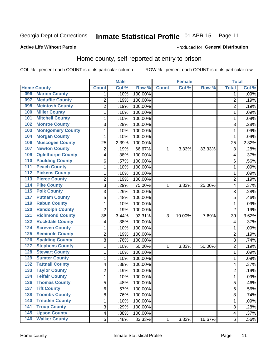#### Inmate Statistical Profile 01-APR-15 Page 11

### **Active Life Without Parole**

### **Produced for General Distribution**

### Home county, self-reported at entry to prison

COL % - percent each COUNT is of its particular column

|                  |                          |                | <b>Male</b> |         |              | <b>Female</b> |        | <b>Total</b>   |       |
|------------------|--------------------------|----------------|-------------|---------|--------------|---------------|--------|----------------|-------|
|                  | <b>Home County</b>       | <b>Count</b>   | Col %       | Row %   | <b>Count</b> | Col %         | Row %  | <b>Total</b>   | Col % |
| 096              | <b>Marion County</b>     | 1              | .10%        | 100.00% |              |               |        | 1              | .09%  |
| 097              | <b>Mcduffie County</b>   | $\overline{2}$ | .19%        | 100.00% |              |               |        | $\overline{2}$ | .19%  |
| 098              | <b>Mcintosh County</b>   | $\overline{c}$ | .19%        | 100.00% |              |               |        | $\overline{2}$ | .19%  |
| 100              | <b>Miller County</b>     | $\mathbf 1$    | .10%        | 100.00% |              |               |        | 1              | .09%  |
| 101              | <b>Mitchell County</b>   | $\mathbf 1$    | .10%        | 100.00% |              |               |        | 1              | .09%  |
| 102              | <b>Monroe County</b>     | 3              | .29%        | 100.00% |              |               |        | 3              | .28%  |
| 103              | <b>Montgomery County</b> | 1              | .10%        | 100.00% |              |               |        | 1              | .09%  |
| 104              | <b>Morgan County</b>     | 1              | .10%        | 100.00% |              |               |        | 1              | .09%  |
| 106              | <b>Muscogee County</b>   | 25             | 2.39%       | 100.00% |              |               |        | 25             | 2.32% |
| 107              | <b>Newton County</b>     | 2              | .19%        | 66.67%  | 1            | 3.33%         | 33.33% | 3              | .28%  |
| 109              | <b>Oglethorpe County</b> | 4              | .38%        | 100.00% |              |               |        | 4              | .37%  |
| 110              | <b>Paulding County</b>   | 6              | .57%        | 100.00% |              |               |        | 6              | .56%  |
| 111              | <b>Peach County</b>      | $\mathbf 1$    | .10%        | 100.00% |              |               |        | 1              | .09%  |
| 112              | <b>Pickens County</b>    | $\mathbf 1$    | .10%        | 100.00% |              |               |        | 1              | .09%  |
| 113              | <b>Pierce County</b>     | $\overline{2}$ | .19%        | 100.00% |              |               |        | $\overline{2}$ | .19%  |
| 114              | <b>Pike County</b>       | 3              | .29%        | 75.00%  | 1            | 3.33%         | 25.00% | 4              | .37%  |
| $\overline{115}$ | <b>Polk County</b>       | 3              | .29%        | 100.00% |              |               |        | 3              | .28%  |
| 117              | <b>Putnam County</b>     | 5              | .48%        | 100.00% |              |               |        | 5              | .46%  |
| 119              | <b>Rabun County</b>      | $\mathbf 1$    | .10%        | 100.00% |              |               |        | 1              | .09%  |
| 120              | <b>Randolph County</b>   | $\overline{2}$ | .19%        | 100.00% |              |               |        | $\overline{2}$ | .19%  |
| 121              | <b>Richmond County</b>   | 36             | 3.44%       | 92.31%  | 3            | 10.00%        | 7.69%  | 39             | 3.62% |
| 122              | <b>Rockdale County</b>   | 4              | .38%        | 100.00% |              |               |        | 4              | .37%  |
| 124              | <b>Screven County</b>    | 1              | .10%        | 100.00% |              |               |        | 1              | .09%  |
| 125              | <b>Seminole County</b>   | $\overline{2}$ | .19%        | 100.00% |              |               |        | $\overline{c}$ | .19%  |
| 126              | <b>Spalding County</b>   | 8              | .76%        | 100.00% |              |               |        | 8              | .74%  |
| 127              | <b>Stephens County</b>   | $\mathbf 1$    | .10%        | 50.00%  | 1            | 3.33%         | 50.00% | $\overline{2}$ | .19%  |
| 128              | <b>Stewart County</b>    | $\mathbf 1$    | .10%        | 100.00% |              |               |        | 1              | .09%  |
| 129              | <b>Sumter County</b>     | 1              | .10%        | 100.00% |              |               |        | 1              | .09%  |
| 132              | <b>Tattnall County</b>   | 4              | .38%        | 100.00% |              |               |        | 4              | .37%  |
| 133              | <b>Taylor County</b>     | 2              | .19%        | 100.00% |              |               |        | $\overline{2}$ | .19%  |
| 134              | <b>Telfair County</b>    | $\mathbf 1$    | .10%        | 100.00% |              |               |        | 1              | .09%  |
| 136              | <b>Thomas County</b>     | 5              | .48%        | 100.00% |              |               |        | 5              | .46%  |
| 137              | <b>Tift County</b>       | 6              | .57%        | 100.00% |              |               |        | 6              | .56%  |
| 138              | <b>Toombs County</b>     | 8              | .76%        | 100.00% |              |               |        | 8              | .74%  |
| 140              | <b>Treutlen County</b>   | $\mathbf 1$    | .10%        | 100.00% |              |               |        | 1              | .09%  |
| 141              | <b>Troup County</b>      | 3              | .29%        | 100.00% |              |               |        | 3              | .28%  |
| $\overline{145}$ | <b>Upson County</b>      | 4              | .38%        | 100.00% |              |               |        | $\overline{4}$ | .37%  |
| $\overline{146}$ | <b>Walker County</b>     | 5              | .48%        | 83.33%  | $\mathbf 1$  | 3.33%         | 16.67% | 6              | .56%  |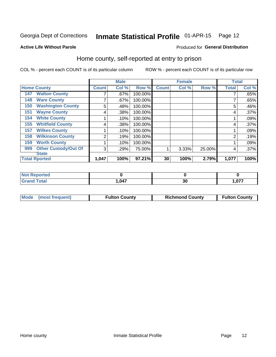# Inmate Statistical Profile 01-APR-15 Page 12

#### **Active Life Without Parole**

#### Produced for General Distribution

### Home county, self-reported at entry to prison

COL % - percent each COUNT is of its particular column

|                    |                             |              | <b>Male</b> |         |              | <b>Female</b> |        | <b>Total</b> |       |
|--------------------|-----------------------------|--------------|-------------|---------|--------------|---------------|--------|--------------|-------|
| <b>Home County</b> |                             | <b>Count</b> | Col %       | Row %   | <b>Count</b> | Col %         | Row %  | <b>Total</b> | Col % |
| 147                | <b>Walton County</b>        |              | .67%        | 100.00% |              |               |        |              | .65%  |
| 148                | <b>Ware County</b>          | ⇁            | .67%        | 100.00% |              |               |        |              | .65%  |
| 150                | <b>Washington County</b>    | 5            | .48%        | 100.00% |              |               |        | 5            | .46%  |
| 151                | <b>Wayne County</b>         | 4            | .38%        | 100.00% |              |               |        | 4            | .37%  |
| 154                | <b>White County</b>         |              | .10%        | 100.00% |              |               |        |              | .09%  |
| 155                | <b>Whitfield County</b>     | 4            | .38%        | 100.00% |              |               |        | 4            | .37%  |
| 157                | <b>Wilkes County</b>        |              | .10%        | 100.00% |              |               |        |              | .09%  |
| 158                | <b>Wilkinson County</b>     | 2            | .19%        | 100.00% |              |               |        | 2            | .19%  |
| 159                | <b>Worth County</b>         |              | .10%        | 100.00% |              |               |        |              | .09%  |
| 999                | <b>Other Custody/Out Of</b> | 3            | .29%        | 75.00%  |              | 3.33%         | 25.00% | 4            | .37%  |
|                    | <b>State</b>                |              |             |         |              |               |        |              |       |
|                    | <b>Total Rported</b>        | 1,047        | 100%        | 97.21%  | 30           | 100%          | 2.79%  | 1,077        | 100%  |

| <b>eported</b> |       |               |       |
|----------------|-------|---------------|-------|
| <b>Total</b>   | 1,047 | $\sim$<br>JJ. | 1,077 |

| Mode (most frequent)<br><b>Fulton County</b> | <b>Richmond County</b> | <b>Fulton County</b> |
|----------------------------------------------|------------------------|----------------------|
|----------------------------------------------|------------------------|----------------------|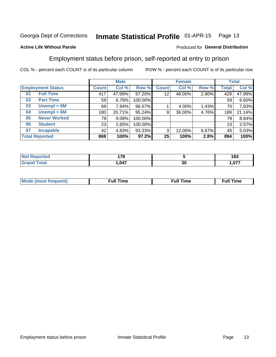#### Inmate Statistical Profile 01-APR-15 Page 13

#### **Active Life Without Parole**

### Produced for General Distribution

### Employment status before prison, self-reported at entry to prison

COL % - percent each COUNT is of its particular column

|                          |                     |              | <b>Male</b> |         |              | <b>Female</b> |       |       | <b>Total</b> |  |
|--------------------------|---------------------|--------------|-------------|---------|--------------|---------------|-------|-------|--------------|--|
| <b>Employment Status</b> |                     | <b>Count</b> | Col %       | Row %   | <b>Count</b> | Col %         | Row % | Total | Col %        |  |
| 01                       | <b>Full Time</b>    | 417          | 47.99%      | 97.20%  | 12           | 48.00%        | 2.80% | 429   | 47.99%       |  |
| 02                       | <b>Part Time</b>    | 59           | 6.79%       | 100.00% |              |               |       | 59    | 6.60%        |  |
| 03                       | Unempl $<$ 6M       | 69           | 7.94%       | 98.57%  |              | 4.00%         | 1.43% | 70    | 7.83%        |  |
| 04                       | Unempl > 6M         | 180          | 20.71%      | 95.24%  | 9            | 36.00%        | 4.76% | 189   | 21.14%       |  |
| 05                       | <b>Never Worked</b> | 79           | 9.09%       | 100.00% |              |               |       | 79    | 8.84%        |  |
| 06                       | <b>Student</b>      | 23           | 2.65%       | 100.00% |              |               |       | 23    | 2.57%        |  |
| 07                       | <b>Incapable</b>    | 42           | 4.83%       | 93.33%  | 3            | 12.00%        | 6.67% | 45    | 5.03%        |  |
| <b>Total Reported</b>    |                     | 869          | 100%        | 97.2%   | 25           | 100%          | 2.8%  | 894   | 100%         |  |

| $- \bullet$<br>п.<br>. . v<br>$\sim$ |         | 402<br>109                      |
|--------------------------------------|---------|---------------------------------|
| .047                                 | ״<br>ას | $\sim$ $\sim$ $\sim$<br>. . v . |

| Mc | ∙u∥<br>----<br>ıme | ίuΙ<br>Πmε |
|----|--------------------|------------|
|    |                    |            |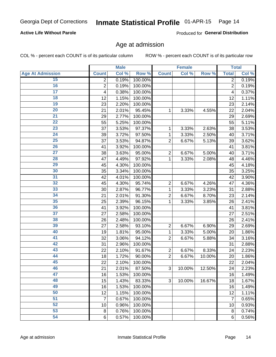### **Active Life Without Parole**

Produced for General Distribution

### Age at admission

COL % - percent each COUNT is of its particular column

|                         |                | <b>Male</b> |         |                | <b>Female</b> |        |                | <b>Total</b> |
|-------------------------|----------------|-------------|---------|----------------|---------------|--------|----------------|--------------|
| <b>Age At Admission</b> | <b>Count</b>   | Col %       | Row %   | <b>Count</b>   | Col %         | Row %  | <b>Total</b>   | Col %        |
| 15                      | $\overline{2}$ | 0.19%       | 100.00% |                |               |        | $\overline{2}$ | 0.19%        |
| 16                      | $\overline{c}$ | 0.19%       | 100.00% |                |               |        | $\overline{2}$ | 0.19%        |
| $\overline{17}$         | 4              | 0.38%       | 100.00% |                |               |        | 4              | 0.37%        |
| 18                      | 12             | 1.15%       | 100.00% |                |               |        | 12             | 1.11%        |
| 19                      | 23             | 2.20%       | 100.00% |                |               |        | 23             | 2.14%        |
| $\overline{20}$         | 21             | 2.01%       | 95.45%  | 1              | 3.33%         | 4.55%  | 22             | 2.04%        |
| 21                      | 29             | 2.77%       | 100.00% |                |               |        | 29             | 2.69%        |
| 22                      | 55             | 5.25%       | 100.00% |                |               |        | 55             | 5.11%        |
| 23                      | 37             | 3.53%       | 97.37%  | 1              | 3.33%         | 2.63%  | 38             | 3.53%        |
| 24                      | 39             | 3.72%       | 97.50%  | 1              | 3.33%         | 2.50%  | 40             | 3.71%        |
| $\overline{25}$         | 37             | 3.53%       | 94.87%  | $\overline{2}$ | 6.67%         | 5.13%  | 39             | 3.62%        |
| 26                      | 41             | 3.92%       | 100.00% |                |               |        | 41             | 3.81%        |
| $\overline{27}$         | 38             | 3.63%       | 95.00%  | $\overline{2}$ | 6.67%         | 5.00%  | 40             | 3.71%        |
| 28                      | 47             | 4.49%       | 97.92%  | 1              | 3.33%         | 2.08%  | 48             | 4.46%        |
| 29                      | 45             | 4.30%       | 100.00% |                |               |        | 45             | 4.18%        |
| 30                      | 35             | 3.34%       | 100.00% |                |               |        | 35             | 3.25%        |
| 31                      | 42             | 4.01%       | 100.00% |                |               |        | 42             | 3.90%        |
| 32                      | 45             | 4.30%       | 95.74%  | $\overline{2}$ | 6.67%         | 4.26%  | 47             | 4.36%        |
| 33                      | 30             | 2.87%       | 96.77%  | 1              | 3.33%         | 3.23%  | 31             | 2.88%        |
| 34                      | 21             | 2.01%       | 91.30%  | $\overline{2}$ | 6.67%         | 8.70%  | 23             | 2.14%        |
| 35                      | 25             | 2.39%       | 96.15%  | 1              | 3.33%         | 3.85%  | 26             | 2.41%        |
| 36                      | 41             | 3.92%       | 100.00% |                |               |        | 41             | 3.81%        |
| $\overline{37}$         | 27             | 2.58%       | 100.00% |                |               |        | 27             | 2.51%        |
| 38                      | 26             | 2.48%       | 100.00% |                |               |        | 26             | 2.41%        |
| 39                      | 27             | 2.58%       | 93.10%  | $\overline{c}$ | 6.67%         | 6.90%  | 29             | 2.69%        |
| 40                      | 19             | 1.81%       | 95.00%  | 1              | 3.33%         | 5.00%  | 20             | 1.86%        |
| 41                      | 32             | 3.06%       | 94.12%  | $\overline{2}$ | 6.67%         | 5.88%  | 34             | 3.16%        |
| 42                      | 31             | 2.96%       | 100.00% |                |               |        | 31             | 2.88%        |
| 43                      | 22             | 2.10%       | 91.67%  | $\overline{c}$ | 6.67%         | 8.33%  | 24             | 2.23%        |
| 44                      | 18             | 1.72%       | 90.00%  | $\overline{2}$ | 6.67%         | 10.00% | 20             | 1.86%        |
| 45                      | 22             | 2.10%       | 100.00% |                |               |        | 22             | 2.04%        |
| 46                      | 21             | 2.01%       | 87.50%  | 3              | 10.00%        | 12.50% | 24             | 2.23%        |
| 47                      | 16             | 1.53%       | 100.00% |                |               |        | 16             | 1.49%        |
| 48                      | 15             | 1.43%       | 83.33%  | 3              | 10.00%        | 16.67% | 18             | 1.67%        |
| 49                      | 16             | 1.53%       | 100.00% |                |               |        | 16             | 1.49%        |
| 50                      | 12             | 1.15%       | 100.00% |                |               |        | 12             | 1.11%        |
| $\overline{51}$         | 7              | 0.67%       | 100.00% |                |               |        | $\overline{7}$ | 0.65%        |
| 52                      | 10             | 0.96%       | 100.00% |                |               |        | 10             | 0.93%        |
| 53                      | 8              | 0.76%       | 100.00% |                |               |        | 8              | 0.74%        |
| 54                      | $\,6\,$        | 0.57%       | 100.00% |                |               |        | 6              | 0.56%        |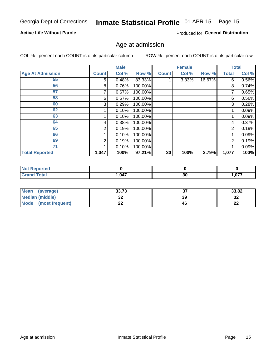#### Inmate Statistical Profile 01-APR-15 Page 15

### **Active Life Without Parole**

Produced for General Distribution

### Age at admission

COL % - percent each COUNT is of its particular column

|                         |              | <b>Male</b> |         |              | <b>Female</b> |        |                | <b>Total</b> |
|-------------------------|--------------|-------------|---------|--------------|---------------|--------|----------------|--------------|
| <b>Age At Admission</b> | <b>Count</b> | Col %       | Row %   | <b>Count</b> | Col %         | Row %  | <b>Total</b>   | Col %        |
| 55                      | 5            | 0.48%       | 83.33%  |              | $3.33\%$      | 16.67% | 6              | 0.56%        |
| 56                      | 8            | 0.76%       | 100.00% |              |               |        | 8              | 0.74%        |
| 57                      |              | 0.67%       | 100.00% |              |               |        | 7              | 0.65%        |
| 58                      | 6            | 0.57%       | 100.00% |              |               |        | 6              | 0.56%        |
| 60                      | 3            | 0.29%       | 100.00% |              |               |        | 3              | 0.28%        |
| 62                      |              | 0.10%       | 100.00% |              |               |        |                | 0.09%        |
| 63                      |              | 0.10%       | 100.00% |              |               |        |                | 0.09%        |
| 64                      | 4            | 0.38%       | 100.00% |              |               |        | 4              | 0.37%        |
| 65                      | 2            | 0.19%       | 100.00% |              |               |        | $\overline{2}$ | 0.19%        |
| 66                      |              | 0.10%       | 100.00% |              |               |        |                | 0.09%        |
| 69                      | 2            | 0.19%       | 100.00% |              |               |        | $\overline{2}$ | 0.19%        |
| 71                      |              | 0.10%       | 100.00% |              |               |        |                | 0.09%        |
| <b>Total Reported</b>   | 1,047        | 100%        | 97.21%  | 30           | 100%          | 2.79%  | 1,077          | 100%         |

| <b>eported</b><br>TV 6 |      |          |      |
|------------------------|------|----------|------|
| <b>c</b> otal<br>_____ | ,047 | or.<br>u | ,077 |

| Mean<br>(average)              | 33.73 | ^¬<br>J, | 33.82        |
|--------------------------------|-------|----------|--------------|
| <b>Median (middle)</b>         | u     | 39       | - 20<br>- 34 |
| <b>Mode</b><br>(most frequent) | --    | 46       | n,<br>LL     |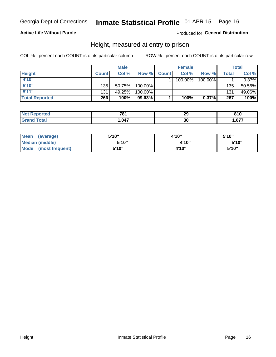### **Active Life Without Parole**

### Produced for General Distribution

### Height, measured at entry to prison

COL % - percent each COUNT is of its particular column

|                       |              | <b>Male</b> |         |              | <b>Female</b> |         |              | <b>Total</b> |
|-----------------------|--------------|-------------|---------|--------------|---------------|---------|--------------|--------------|
| <b>Height</b>         | <b>Count</b> | Col %       | Row %I  | <b>Count</b> | Col %         | Row %   | <b>Total</b> | Col %        |
| 4'10"                 |              |             |         |              | 100.00%       | 100.00% |              | 0.37%        |
| 5'10''                | 135          | 50.75%      | 100.00% |              |               |         | 135          | 50.56%       |
| 5'11''                | 131          | 49.25%      | 100.00% |              |               |         | 131          | 49.06%       |
| <b>Total Reported</b> | 266          | 100%        | 99.63%  |              | 100%          | 0.37%   | 267          | 100%         |

| <b>Not</b><br><b>Eported</b> | 70 <sub>1</sub><br>_____ | 29 | 810   |
|------------------------------|--------------------------|----|-------|
| <b>Grand Total</b>           | 047, ا                   | 30 | 1,077 |

| <b>Mean</b><br>(average)       | 5'10" | 4'10" | 5'10" |
|--------------------------------|-------|-------|-------|
| <b>Median (middle)</b>         | 5'10" | 4'10" | 5'10" |
| <b>Mode</b><br>(most frequent) | 5'10" | 4'10" | 5'10" |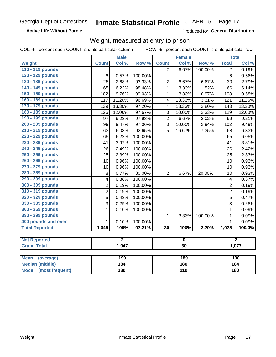**Active Life Without Parole** 

Produced for General Distribution

### Weight, measured at entry to prison

COL % - percent each COUNT is of its particular column ROW % - percent each COUNT is of its particular row

|                                |                 | <b>Male</b>    |         |                         | <b>Female</b>           |         |                         | <b>Total</b>   |  |
|--------------------------------|-----------------|----------------|---------|-------------------------|-------------------------|---------|-------------------------|----------------|--|
| <b>Weight</b>                  | <b>Count</b>    | Col %          | Row %   | <b>Count</b>            | Col %                   | Row %   | <b>Total</b>            | Col %          |  |
| 110 - 119 pounds               |                 |                |         | $\overline{2}$          | 6.67%                   | 100.00% | $\overline{2}$          | 0.19%          |  |
| 120 - 129 pounds               | $6\phantom{1}6$ | 0.57%          | 100.00% |                         |                         |         | $6\phantom{1}$          | 0.56%          |  |
| 130 - 139 pounds               | 28              | 2.68%          | 93.33%  | $\overline{2}$          | 6.67%                   | 6.67%   | 30                      | 2.79%          |  |
| 140 - 149 pounds               | 65              | 6.22%          | 98.48%  | $\mathbf{1}$            | 3.33%                   | 1.52%   | 66                      | 6.14%          |  |
| 150 - 159 pounds               | 102             | 9.76%          | 99.03%  | $\mathbf{1}$            | 3.33%                   | 0.97%   | 103                     | 9.58%          |  |
| 160 - 169 pounds               | 117             | 11.20%         | 96.69%  | $\overline{\mathbf{4}}$ | 13.33%                  | 3.31%   | 121                     | 11.26%         |  |
| 170 - 179 pounds               | 139             | 13.30%         | 97.20%  | $\overline{\mathbf{4}}$ | 13.33%                  | 2.80%   | 143                     | 13.30%         |  |
| 180 - 189 pounds               | 126             | 12.06%         | 97.67%  | 3                       | 10.00%                  | 2.33%   | 129                     | 12.00%         |  |
| 190 - 199 pounds               | 97              | 9.28%          | 97.98%  | $\overline{2}$          | 6.67%                   | 2.02%   | 99                      | 9.21%          |  |
| 200 - 209 pounds               | 99              | 9.47%          | 97.06%  | $\overline{3}$          | 10.00%                  | 2.94%   | 102                     | 9.49%          |  |
| 210 - 219 pounds               | 63              | 6.03%          | 92.65%  | 5                       | 16.67%                  | 7.35%   | 68                      | 6.33%          |  |
| 220 - 229 pounds               | 65              | 6.22%          | 100.00% |                         |                         |         | 65                      | 6.05%          |  |
| 230 - 239 pounds               | 41              | 3.92%          | 100.00% |                         |                         |         | 41                      | 3.81%          |  |
| 240 - 249 pounds               | 26              | 2.49%          | 100.00% |                         |                         |         | 26                      | 2.42%          |  |
| 250 - 259 pounds               | 25              | 2.39%          | 100.00% |                         |                         |         | 25                      | 2.33%          |  |
| 260 - 269 pounds               | 10              | 0.96%          | 100.00% |                         |                         |         | 10                      | 0.93%          |  |
| 270 - 279 pounds               | 10              | 0.96%          | 100.00% |                         |                         |         | 10                      | 0.93%          |  |
| 280 - 289 pounds               | 8               | 0.77%          | 80.00%  | $\overline{2}$          | 6.67%                   | 20.00%  | 10                      | 0.93%          |  |
| 290 - 299 pounds               | 4               | 0.38%          | 100.00% |                         |                         |         | $\overline{\mathbf{4}}$ | 0.37%          |  |
| 300 - 309 pounds               | $\overline{2}$  | 0.19%          | 100.00% |                         |                         |         | $\boldsymbol{2}$        | 0.19%          |  |
| 310 - 319 pounds               | $\overline{2}$  | 0.19%          | 100.00% |                         |                         |         | $\overline{2}$          | 0.19%          |  |
| 320 - 329 pounds               | 5               | 0.48%          | 100.00% |                         |                         |         | 5                       | 0.47%          |  |
| 330 - 339 pounds               | $\overline{3}$  | 0.29%          | 100.00% |                         |                         |         | $\overline{3}$          | 0.28%          |  |
| 360 - 369 pounds               | 1               | 0.10%          | 100.00% |                         |                         |         | 1                       | 0.09%          |  |
| 390 - 399 pounds               |                 |                |         | $\mathbf{1}$            | 3.33%                   | 100.00% | $\mathbf{1}$            | 0.09%          |  |
| 400 pounds and over            | $\mathbf{1}$    | 0.10%          | 100.00% |                         |                         |         | $\mathbf{1}$            | 0.09%          |  |
| <b>Total Reported</b>          | 1,045           | 100%           | 97.21%  | $\overline{30}$         | 100%                    | 2.79%   | 1,075                   | 100.0%         |  |
|                                |                 |                |         |                         |                         |         |                         |                |  |
| <b>Not Reported</b>            |                 | $\overline{2}$ |         |                         | $\overline{\mathbf{0}}$ |         |                         | $\overline{2}$ |  |
| <b>Grand Total</b>             |                 | 1,047          |         | $\overline{30}$         |                         |         |                         | 1,077          |  |
|                                |                 |                |         |                         |                         |         |                         |                |  |
| <b>Mean</b><br>(average)       |                 | 190            |         |                         | 189                     |         |                         | 190            |  |
| <b>Median (middle)</b>         |                 | 184            |         |                         | <b>180</b>              |         | 184                     |                |  |
| <b>Mode</b><br>(most frequent) |                 | <b>180</b>     |         | $\overline{210}$        |                         |         | 180                     |                |  |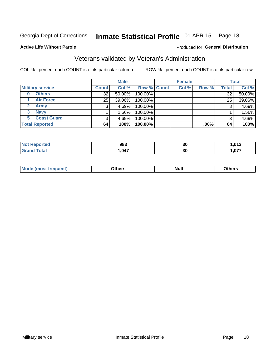#### Inmate Statistical Profile 01-APR-15 Page 18

#### **Active Life Without Parole**

### Produced for General Distribution

# Veterans validated by Veteran's Administration

COL % - percent each COUNT is of its particular column

|                           |              | <b>Male</b> |                    | <b>Female</b> |         |              | <b>Total</b> |
|---------------------------|--------------|-------------|--------------------|---------------|---------|--------------|--------------|
| <b>Military service</b>   | <b>Count</b> | Col %       | <b>Row % Count</b> | Col %         | Row %   | <b>Total</b> | Col %        |
| <b>Others</b><br>$\bf{0}$ | 32           | 50.00%      | 100.00%            |               |         | 32           | 50.00%       |
| <b>Air Force</b>          | 25           | 39.06%      | 100.00%            |               |         | 25           | 39.06%       |
| Army                      |              | 4.69%       | 100.00%            |               |         | 3            | 4.69%        |
| <b>Navy</b><br>3          |              | $1.56\%$    | 100.00%            |               |         |              | 1.56%        |
| <b>Coast Guard</b><br>5.  |              | 4.69%       | 100.00%            |               |         | 3            | 4.69%        |
| <b>Total Reported</b>     | 64           | 100%        | 100.00%            |               | $.00\%$ | 64           | 100%         |

| <b>rted</b>           | 983  | 30 | 013.،       |
|-----------------------|------|----|-------------|
| $f \wedge f \wedge f$ | ,047 | 30 | 077<br>. .v |

| Mo<br><b>Null</b><br>วthers<br>_____<br>____<br>____ |
|------------------------------------------------------|
|------------------------------------------------------|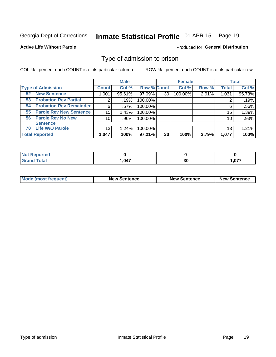#### Inmate Statistical Profile 01-APR-15 Page 19

**Active Life Without Parole** 

Produced for General Distribution

### Type of admission to prison

COL % - percent each COUNT is of its particular column

|                                        |                 | <b>Male</b> |                    |    | <b>Female</b> |       |              | <b>Total</b> |
|----------------------------------------|-----------------|-------------|--------------------|----|---------------|-------|--------------|--------------|
| <b>Type of Admission</b>               | <b>Count</b>    | Col %       | <b>Row % Count</b> |    | Col %         | Row % | <b>Total</b> | Col %        |
| <b>New Sentence</b><br>52 <sub>2</sub> | 1,001           | 95.61%      | 97.09%             | 30 | 100.00%       | 2.91% | 1,031        | 95.73%       |
| <b>Probation Rev Partial</b><br>53     | $\overline{2}$  | .19%        | 100.00%            |    |               |       |              | .19%         |
| <b>Probation Rev Remainder</b><br>54   | 6               | .57%        | 100.00%            |    |               |       | 6            | .56%         |
| <b>Parole Rev New Sentence</b><br>55   | 15              | 1.43%       | 100.00%            |    |               |       | 15           | 1.39%        |
| <b>Parole Rev No New</b><br>56         | 10 <sub>1</sub> | .96%        | 100.00%            |    |               |       | 10           | .93%         |
| <b>Sentence</b>                        |                 |             |                    |    |               |       |              |              |
| <b>Life W/O Parole</b><br>70           | 13              | 1.24%       | 100.00%            |    |               |       | 13           | 1.21%        |
| <b>Total Reported</b>                  | 1,047           | 100%        | 97.21%             | 30 | 100%          | 2.79% | 1,077        | 100%         |

| Reported<br>Nt                  |       |    |                |
|---------------------------------|-------|----|----------------|
| <b>otal</b><br>$\mathbf{v}$ and | 1,047 | 30 | 077<br>1.V / 1 |

| <b>Mode (most frequent)</b> | <b>New Sentence</b> | <b>New Sentence</b> | <b>New Sentence</b> |
|-----------------------------|---------------------|---------------------|---------------------|
|                             |                     |                     |                     |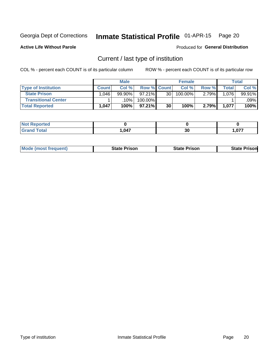#### Inmate Statistical Profile 01-APR-15 Page 20

**Active Life Without Parole** 

Produced for General Distribution

# Current / last type of institution

COL % - percent each COUNT is of its particular column

|                            |              | <b>Male</b> |                    |                 | <b>Female</b> |       |              | <b>Total</b> |
|----------------------------|--------------|-------------|--------------------|-----------------|---------------|-------|--------------|--------------|
| <b>Type of Institution</b> | <b>Count</b> | Col %       | <b>Row % Count</b> |                 | Col %         | Row % | <b>Total</b> | Col %        |
| <b>State Prison</b>        | 1.046        | 99.90%      | $97.21\%$          | 30 <sub>1</sub> | 100.00%       | 2.79% | 1,076        | 99.91%       |
| <b>Transitional Center</b> |              | 10%         | 100.00%            |                 |               |       |              | .09%         |
| <b>Total Reported</b>      | 1,047        | 100%        | $97.21\%$          | 30              | 100%          | 2.79% | 1,077        | 100%         |

| tea |      |    |           |
|-----|------|----|-----------|
|     | .047 | 30 | 077<br>v. |

|  | <b>Mode (most frequent)</b> | State Prison | <b>State Prison</b> | risonl<br>State |
|--|-----------------------------|--------------|---------------------|-----------------|
|--|-----------------------------|--------------|---------------------|-----------------|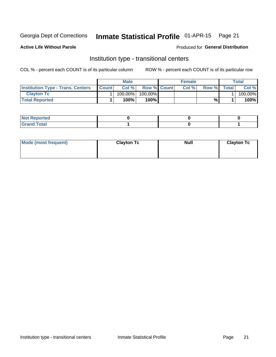# Inmate Statistical Profile 01-APR-15 Page 21

### **Active Life Without Parole**

### Produced for General Distribution

# Institution type - transitional centers

COL % - percent each COUNT is of its particular column

|                                          |              | <b>Male</b> |                    | <b>Female</b> |       |              | <b>Total</b> |
|------------------------------------------|--------------|-------------|--------------------|---------------|-------|--------------|--------------|
| <b>Institution Type - Trans. Centers</b> | <b>Count</b> | Col%        | <b>Row % Count</b> | Col%          | Row % | <b>Total</b> | Col %        |
| <b>Clayton Tc</b>                        |              | 100.00%     | 100.00%            |               |       |              | 100.00%      |
| <b>Total Reported</b>                    |              | $100\%$     | 100%               |               | %     |              | 100%         |

| <b>Not Reported</b>  |  |  |
|----------------------|--|--|
| <b>Total</b><br>r va |  |  |

| Mode (most frequent) | <b>Clayton Tc</b> | <b>Null</b> | <b>Clayton Tc</b> |
|----------------------|-------------------|-------------|-------------------|
|                      |                   |             |                   |
|                      |                   |             |                   |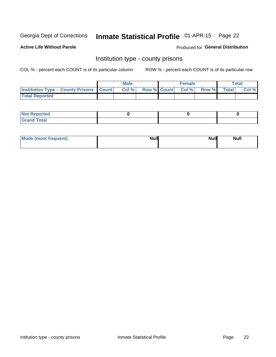# Inmate Statistical Profile 01-APR-15 Page 22

**Active Life Without Parole** 

Produced for General Distribution

### Institution type - county prisons

COL % - percent each COUNT is of its particular column

|                                                    | <b>Male</b> |  | <b>Female</b>            |             | <b>Total</b> |
|----------------------------------------------------|-------------|--|--------------------------|-------------|--------------|
| <b>Institution Type - County Prisons   Count  </b> | Col %       |  | <b>Row % Count Col %</b> | Row % Total | Col %        |
| <b>Total Reported</b>                              |             |  |                          |             |              |

| <b>Not</b><br>: Reported<br> |  |  |
|------------------------------|--|--|
| <b>Total</b><br>---          |  |  |

| Mode (most frequent) | <b>Null</b> | <b>Null</b><br><b>Null</b> |
|----------------------|-------------|----------------------------|
|                      |             |                            |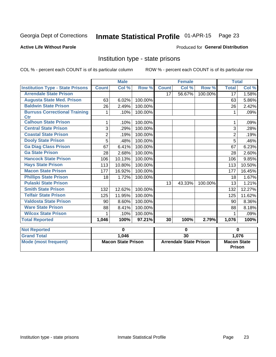# Inmate Statistical Profile 01-APR-15 Page 23

#### **Active Life Without Parole**

#### Produced for General Distribution

### Institution type - state prisons

COL % - percent each COUNT is of its particular column

|                                         | <b>Male</b>               |        |         | <b>Female</b>                 |        |          | <b>Total</b>                 |                            |
|-----------------------------------------|---------------------------|--------|---------|-------------------------------|--------|----------|------------------------------|----------------------------|
| <b>Institution Type - State Prisons</b> | <b>Count</b>              | Col %  | Row %   | <b>Count</b>                  | Col%   | Row %    | <b>Total</b>                 | $\overline{\text{Col }^9}$ |
| <b>Arrendale State Prison</b>           |                           |        |         | $\overline{17}$               | 56.67% | 100.00%  | $\overline{17}$              | 1.58%                      |
| <b>Augusta State Med. Prison</b>        | 63                        | 6.02%  | 100.00% |                               |        |          | 63                           | 5.86%                      |
| <b>Baldwin State Prison</b>             | 26                        | 2.49%  | 100.00% |                               |        |          | 26                           | 2.42%                      |
| <b>Burruss Correctional Training</b>    | 1                         | .10%   | 100.00% |                               |        |          | 1                            | .09%                       |
| <b>Ctr</b>                              |                           |        |         |                               |        |          |                              |                            |
| <b>Calhoun State Prison</b>             | 1                         | .10%   | 100.00% |                               |        |          | 1                            | .09%                       |
| <b>Central State Prison</b>             | 3                         | .29%   | 100.00% |                               |        |          | 3                            | .28%                       |
| <b>Coastal State Prison</b>             | $\overline{2}$            | .19%   | 100.00% |                               |        |          | $\overline{2}$               | .19%                       |
| <b>Dooly State Prison</b>               | 5                         | .48%   | 100.00% |                               |        |          | 5                            | .46%                       |
| <b>Ga Diag Class Prison</b>             | 67                        | 6.41%  | 100.00% |                               |        |          | 67                           | 6.23%                      |
| <b>Ga State Prison</b>                  | 28                        | 2.68%  | 100.00% |                               |        |          | 28                           | 2.60%                      |
| <b>Hancock State Prison</b>             | 106                       | 10.13% | 100.00% |                               |        |          | 106                          | 9.85%                      |
| <b>Hays State Prison</b>                | 113                       | 10.80% | 100.00% |                               |        |          | 113                          | 10.50%                     |
| <b>Macon State Prison</b>               | 177                       | 16.92% | 100.00% |                               |        |          | 177                          | 16.45%                     |
| <b>Phillips State Prison</b>            | 18                        | 1.72%  | 100.00% |                               |        |          | 18                           | 1.67%                      |
| <b>Pulaski State Prison</b>             |                           |        |         | 13                            | 43.33% | 100.00%  | 13                           | 1.21%                      |
| <b>Smith State Prison</b>               | 132                       | 12.62% | 100.00% |                               |        |          | 132                          | 12.27%                     |
| <b>Telfair State Prison</b>             | 125                       | 11.95% | 100.00% |                               |        |          | 125                          | 11.62%                     |
| <b>Valdosta State Prison</b>            | 90                        | 8.60%  | 100.00% |                               |        |          | 90                           | 8.36%                      |
| <b>Ware State Prison</b>                | 88                        | 8.41%  | 100.00% |                               |        |          | 88                           | 8.18%                      |
| <b>Wilcox State Prison</b>              | 1                         | .10%   | 100.00% |                               |        |          | 1                            | .09%                       |
| <b>Total Reported</b>                   | 1,046                     | 100%   | 97.21%  | 30                            | 100%   | 2.79%    | 1,076                        | 100%                       |
| <b>Not Reported</b>                     | 0                         |        | 0       |                               |        | $\bf{0}$ |                              |                            |
| <b>Grand Total</b>                      |                           | 1,046  |         | 30                            |        |          |                              | 1,076                      |
| <b>Mode (most frequent)</b>             | <b>Macon State Prison</b> |        |         | <b>Arrendale State Prison</b> |        |          | <b>Macon State</b><br>Prison |                            |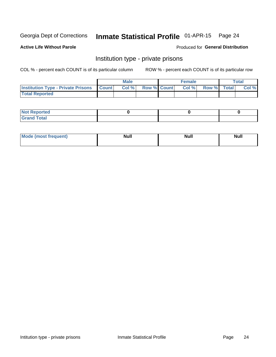# Inmate Statistical Profile 01-APR-15 Page 24

**Active Life Without Parole** 

Produced for General Distribution

## Institution type - private prisons

COL % - percent each COUNT is of its particular column

|                                                     | <b>Male</b> |       |                    | <b>Female</b> |       |             | Total |       |
|-----------------------------------------------------|-------------|-------|--------------------|---------------|-------|-------------|-------|-------|
| <b>Institution Type - Private Prisons   Count  </b> |             | Col % | <b>Row % Count</b> |               | Col % | Row % Total |       | Col % |
| <b>Total Reported</b>                               |             |       |                    |               |       |             |       |       |

| Not Reported           |  |  |
|------------------------|--|--|
| <b>Cotal</b><br>______ |  |  |

| <b>Mo</b><br>frequent) | <b>Null</b> | <b>Null</b> | . . I *<br><b>IVUII</b> |
|------------------------|-------------|-------------|-------------------------|
|                        |             |             |                         |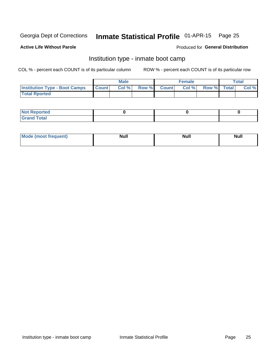#### Inmate Statistical Profile 01-APR-15 Page 25

#### **Active Life Without Parole**

### Produced for General Distribution

## Institution type - inmate boot camp

COL % - percent each COUNT is of its particular column

|                                      | <b>Male</b>  |       |               | <b>Female</b> |       |             | <b>Total</b> |       |
|--------------------------------------|--------------|-------|---------------|---------------|-------|-------------|--------------|-------|
| <b>Institution Type - Boot Camps</b> | <b>Count</b> | Col % | <b>Row %I</b> | <b>Count</b>  | Col % | Row % Total |              | Col % |
| <b>Total Rported</b>                 |              |       |               |               |       |             |              |       |

| <b>Not Reported</b>            |  |  |
|--------------------------------|--|--|
| <b>Total</b><br>C <sub>r</sub> |  |  |

| Mod<br>uamo | Nul.<br>$- - - - - -$ | <b>Null</b> | . .<br>uu.<br>------ |
|-------------|-----------------------|-------------|----------------------|
|             |                       |             |                      |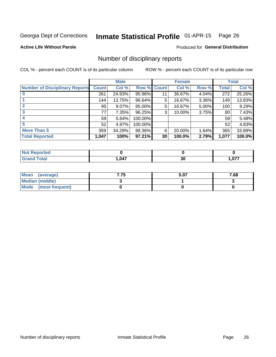#### Inmate Statistical Profile 01-APR-15 Page 26

**Active Life Without Parole** 

Produced for General Distribution

### Number of disciplinary reports

COL % - percent each COUNT is of its particular column

|                                       | <b>Male</b>  |        |             | <b>Female</b>   |        |          | <b>Total</b> |        |
|---------------------------------------|--------------|--------|-------------|-----------------|--------|----------|--------------|--------|
| <b>Number of Disciplinary Reports</b> | <b>Count</b> | Col %  | Row % Count |                 | Col %  | Row %    | Total        | Col %  |
|                                       | 261          | 24.93% | 95.96%      | 11              | 36.67% | 4.04%    | 272          | 25.26% |
|                                       | 144          | 13.75% | 96.64%      | 5               | 16.67% | 3.36%    | 149          | 13.83% |
|                                       | 95           | 9.07%  | 95.00%      | 5               | 16.67% | 5.00%    | 100          | 9.29%  |
| 3                                     | 77           | 7.35%  | 96.25%      | 3               | 10.00% | $3.75\%$ | 80           | 7.43%  |
|                                       | 59           | 5.64%  | 100.00%     |                 |        |          | 59           | 5.48%  |
| 5                                     | 52           | 4.97%  | 100.00%     |                 |        |          | 52           | 4.83%  |
| <b>More Than 5</b>                    | 359          | 34.29% | 98.36%      | 6               | 20.00% | 1.64%    | 365          | 33.89% |
| <b>Total Reported</b>                 | 1,047        | 100%   | 97.21%      | 30 <sup>1</sup> | 100.0% | 2.79%    | 1,077        | 100.0% |

| тео |      |          |       |
|-----|------|----------|-------|
|     | ,047 | 01<br>งบ | 1,077 |

| Mean (average)       | 7.75 | 5.07 | 7.68 |
|----------------------|------|------|------|
| Median (middle)      |      |      |      |
| Mode (most frequent) |      |      |      |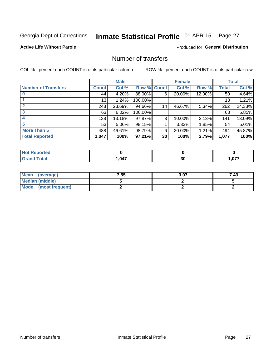# Inmate Statistical Profile 01-APR-15 Page 27

### **Active Life Without Parole**

### **Produced for General Distribution**

## Number of transfers

COL % - percent each COUNT is of its particular column

|                            | <b>Male</b>     |          |         | <b>Female</b> |        |        | <b>Total</b> |        |
|----------------------------|-----------------|----------|---------|---------------|--------|--------|--------------|--------|
| <b>Number of Transfers</b> | Count l         | Col %    | Row %   | <b>Count</b>  | Col %  | Row %  | <b>Total</b> | Col %  |
|                            | 44              | 4.20%    | 88.00%  | 6             | 20.00% | 12.00% | 50           | 4.64%  |
|                            | 13 <sup>1</sup> | 1.24%    | 100.00% |               |        |        | 13           | 1.21%  |
|                            | 248             | 23.69%   | 94.66%  | 14            | 46.67% | 5.34%  | 262          | 24.33% |
| 3                          | 63              | 6.02%    | 100.00% |               |        |        | 63           | 5.85%  |
|                            | 138             | 13.18%   | 97.87%  | 3             | 10.00% | 2.13%  | 141          | 13.09% |
| 5                          | 53              | $5.06\%$ | 98.15%  |               | 3.33%  | 1.85%  | 54           | 5.01%  |
| <b>More Than 5</b>         | 488             | 46.61%   | 98.79%  | 6             | 20.00% | 1.21%  | 494          | 45.87% |
| <b>Total Reported</b>      | 1,047           | 100%     | 97.21%  | 30            | 100%   | 2.79%  | 1,077        | 100%   |

| rtea<br>NO  |      |    |                |
|-------------|------|----|----------------|
| <b>otal</b> | ,047 | 30 | 077<br>ו וט, ו |

| Mean (average)       | 7.55 | 3.07 | 7.43 |
|----------------------|------|------|------|
| Median (middle)      |      |      |      |
| Mode (most frequent) |      |      |      |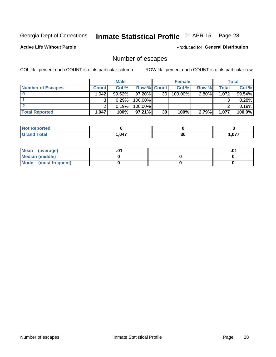# Inmate Statistical Profile 01-APR-15 Page 28

**Active Life Without Parole** 

Produced for General Distribution

# Number of escapes

COL % - percent each COUNT is of its particular column

|                          |                   | <b>Male</b> |                    |    | <b>Female</b> |          |       | <b>Total</b> |
|--------------------------|-------------------|-------------|--------------------|----|---------------|----------|-------|--------------|
| <b>Number of Escapes</b> | <b>Count</b>      | Col%        | <b>Row % Count</b> |    | Col %         | Row %    | Total | Col %        |
|                          | .042              | $99.52\%$   | $97.20\%$          | 30 | 100.00%       | $2.80\%$ | 1,072 | 99.54%       |
|                          |                   | 0.29%       | 100.00%            |    |               |          |       | 0.28%        |
|                          |                   | 0.19%       | 100.00%            |    |               |          |       | 0.19%        |
| <b>Total Reported</b>    | $.047$ $^{\circ}$ | 100%        | $97.21\%$          | 30 | 100%          | 2.79%    | 1,077 | 100.0%       |

| <b>Not Reported</b> |       |           |                |
|---------------------|-------|-----------|----------------|
| <b>Grand Total</b>  | 1,047 | ^'<br>ึงบ | - 077<br>1.V77 |

| Mean (average)       |  | .v |
|----------------------|--|----|
| Median (middle)      |  |    |
| Mode (most frequent) |  |    |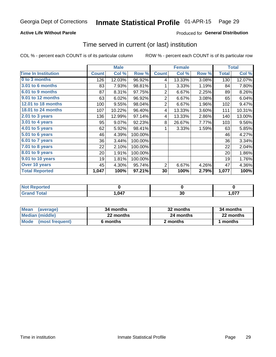### **Active Life Without Parole**

### **Produced for General Distribution**

### Time served in current (or last) institution

COL % - percent each COUNT is of its particular column

|                            |              | <b>Male</b> |         |                | <b>Female</b> |       | <b>Total</b> |        |
|----------------------------|--------------|-------------|---------|----------------|---------------|-------|--------------|--------|
| <b>Time In Institution</b> | <b>Count</b> | Col %       | Row %   | <b>Count</b>   | Col %         | Row % | <b>Total</b> | Col %  |
| 0 to 3 months              | 126          | 12.03%      | 96.92%  | 4              | 13.33%        | 3.08% | 130          | 12.07% |
| <b>3.01 to 6 months</b>    | 83           | 7.93%       | 98.81%  | 1              | 3.33%         | 1.19% | 84           | 7.80%  |
| 6.01 to 9 months           | 87           | 8.31%       | 97.75%  | $\overline{2}$ | 6.67%         | 2.25% | 89           | 8.26%  |
| 9.01 to 12 months          | 63           | 6.02%       | 96.92%  | $\overline{2}$ | 6.67%         | 3.08% | 65           | 6.04%  |
| 12.01 to 18 months         | 100          | 9.55%       | 98.04%  | $\overline{2}$ | 6.67%         | 1.96% | 102          | 9.47%  |
| <b>18.01 to 24 months</b>  | 107          | 10.22%      | 96.40%  | 4              | 13.33%        | 3.60% | 111          | 10.31% |
| $2.01$ to 3 years          | 136          | 12.99%      | 97.14%  | 4              | 13.33%        | 2.86% | 140          | 13.00% |
| $3.01$ to 4 years          | 95           | 9.07%       | 92.23%  | 8              | 26.67%        | 7.77% | 103          | 9.56%  |
| $4.01$ to 5 years          | 62           | 5.92%       | 98.41%  | 1              | 3.33%         | 1.59% | 63           | 5.85%  |
| 5.01 to 6 years            | 46           | 4.39%       | 100.00% |                |               |       | 46           | 4.27%  |
| 6.01 to 7 years            | 36           | 3.44%       | 100.00% |                |               |       | 36           | 3.34%  |
| 7.01 to 8 years            | 22           | 2.10%       | 100.00% |                |               |       | 22           | 2.04%  |
| 8.01 to 9 years            | 20           | 1.91%       | 100.00% |                |               |       | 20           | 1.86%  |
| 9.01 to 10 years           | 19           | 1.81%       | 100.00% |                |               |       | 19           | 1.76%  |
| Over 10 years              | 45           | 4.30%       | 95.74%  | $\overline{2}$ | 6.67%         | 4.26% | 47           | 4.36%  |
| <b>Total Reported</b>      | 1,047        | 100%        | 97.21%  | 30             | 100%          | 2.79% | 1,077        | 100%   |

| المستعمل والمستحدث<br>rtea<br>NO |            |    |        |
|----------------------------------|------------|----|--------|
|                                  | <b>047</b> | ^^ | $\sim$ |
|                                  | — .        | ়∪ | ו וטו  |

| <b>Mean</b><br>(average) | 34 months | 32 months | 34 months |
|--------------------------|-----------|-----------|-----------|
| Median (middle)          | 22 months | 24 months | 22 months |
| Mode (most frequent)     | 6 months  | 2 months  | 1 months  |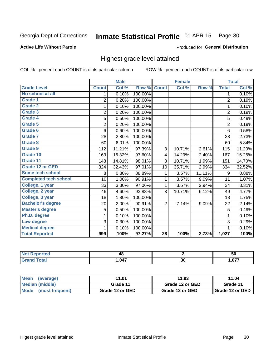#### Inmate Statistical Profile 01-APR-15 Page 30

#### **Active Life Without Parole**

### Produced for General Distribution

### Highest grade level attained

COL % - percent each COUNT is of its particular column

|                              |                | <b>Male</b> |         |                 | <b>Female</b> |        |                | <b>Total</b> |
|------------------------------|----------------|-------------|---------|-----------------|---------------|--------|----------------|--------------|
| <b>Grade Level</b>           | <b>Count</b>   | Col %       | Row %   | <b>Count</b>    | Col %         | Row %  | <b>Total</b>   | Col %        |
| No school at all             | 1.             | 0.10%       | 100.00% |                 |               |        | 1              | 0.10%        |
| Grade 1                      | 2              | 0.20%       | 100.00% |                 |               |        | $\overline{2}$ | 0.19%        |
| <b>Grade 2</b>               | 1              | 0.10%       | 100.00% |                 |               |        | $\mathbf{1}$   | 0.10%        |
| Grade 3                      | $\overline{2}$ | 0.20%       | 100.00% |                 |               |        | $\overline{c}$ | 0.19%        |
| Grade 4                      | 5              | 0.50%       | 100.00% |                 |               |        | 5              | 0.49%        |
| Grade 5                      | $\overline{2}$ | 0.20%       | 100.00% |                 |               |        | $\overline{2}$ | 0.19%        |
| Grade 6                      | 6              | 0.60%       | 100.00% |                 |               |        | 6              | 0.58%        |
| Grade 7                      | 28             | 2.80%       | 100.00% |                 |               |        | 28             | 2.73%        |
| Grade 8                      | 60             | 6.01%       | 100.00% |                 |               |        | 60             | 5.84%        |
| Grade 9                      | 112            | 11.21%      | 97.39%  | 3               | 10.71%        | 2.61%  | 115            | 11.20%       |
| Grade 10                     | 163            | 16.32%      | 97.60%  | 4               | 14.29%        | 2.40%  | 167            | 16.26%       |
| Grade 11                     | 148            | 14.81%      | 98.01%  | 3               | 10.71%        | 1.99%  | 151            | 14.70%       |
| <b>Grade 12 or GED</b>       | 324            | 32.43%      | 97.01%  | 10              | 35.71%        | 2.99%  | 334            | 32.52%       |
| Some tech school             | 8              | 0.80%       | 88.89%  | 1               | 3.57%         | 11.11% | 9              | 0.88%        |
| <b>Completed tech school</b> | 10             | 1.00%       | 90.91%  | 1               | 3.57%         | 9.09%  | 11             | 1.07%        |
| College, 1 year              | 33             | 3.30%       | 97.06%  | 1               | 3.57%         | 2.94%  | 34             | 3.31%        |
| College, 2 year              | 46             | 4.60%       | 93.88%  | 3               | 10.71%        | 6.12%  | 49             | 4.77%        |
| College, 3 year              | 18             | 1.80%       | 100.00% |                 |               |        | 18             | 1.75%        |
| <b>Bachelor's degree</b>     | 20             | 2.00%       | 90.91%  | $\overline{2}$  | 7.14%         | 9.09%  | 22             | 2.14%        |
| <b>Master's degree</b>       | $\mathbf 5$    | 0.50%       | 100.00% |                 |               |        | 5              | 0.49%        |
| Ph.D. degree                 | 1              | 0.10%       | 100.00% |                 |               |        | 1              | 0.10%        |
| Law degree                   | 3              | 0.30%       | 100.00% |                 |               |        | 3              | 0.29%        |
| <b>Medical degree</b>        |                | 0.10%       | 100.00% |                 |               |        | 1              | 0.10%        |
| <b>Total Reported</b>        | 999            | 100%        | 97.27%  | $\overline{28}$ | 100%          | 2.73%  | 1,027          | 100%         |

| $\overline{\phantom{a}}$    | т.       |    | ้วน    |
|-----------------------------|----------|----|--------|
| $\sim$ $\sim$ $\sim$ $\sim$ | 047<br>. | vu | $\sim$ |

| <b>Mean</b><br>(average)       | 11.01           | 11.93           | 11.04             |
|--------------------------------|-----------------|-----------------|-------------------|
| Median (middle)                | Grade 11        | Grade 12 or GED | Grade 11          |
| <b>Mode</b><br>(most frequent) | Grade 12 or GED | Grade 12 or GED | I Grade 12 or GED |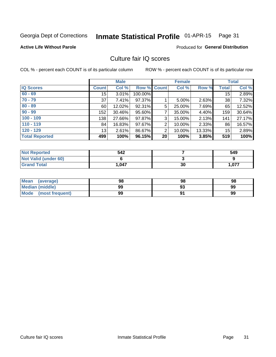# Inmate Statistical Profile 01-APR-15 Page 31

**Active Life Without Parole** 

### **Produced for General Distribution**

## Culture fair IQ scores

COL % - percent each COUNT is of its particular column

|                       |              | <b>Male</b> |                    |    | <b>Female</b> |        |              | <b>Total</b> |
|-----------------------|--------------|-------------|--------------------|----|---------------|--------|--------------|--------------|
| <b>IQ Scores</b>      | <b>Count</b> | Col %       | <b>Row % Count</b> |    | Col %         | Row %  | <b>Total</b> | Col %        |
| $60 - 69$             | 15           | 3.01%       | 100.00%            |    |               |        | 15           | 2.89%        |
| $70 - 79$             | 37           | 7.41%       | 97.37%             |    | $5.00\%$      | 2.63%  | 38           | 7.32%        |
| $80 - 89$             | 60           | 12.02%      | 92.31%             | 5  | 25.00%        | 7.69%  | 65           | 12.52%       |
| $90 - 99$             | 152          | 30.46%      | 95.60%             | 7  | 35.00%        | 4.40%  | 159          | 30.64%       |
| $100 - 109$           | 138          | 27.66%      | 97.87%             | 3  | 15.00%        | 2.13%  | 141          | 27.17%       |
| $110 - 119$           | 84           | 16.83%      | 97.67%             | 2  | 10.00%        | 2.33%  | 86           | 16.57%       |
| $120 - 129$           | 13           | 2.61%       | 86.67%             | 2  | 10.00%        | 13.33% | 15           | 2.89%        |
| <b>Total Reported</b> | 499          | 100%        | 96.15%             | 20 | 100%          | 3.85%  | 519          | 100%         |

| <b>Not Reported</b>         | 542   |    | 549   |
|-----------------------------|-------|----|-------|
| <b>Not Valid (under 60)</b> |       |    |       |
| <b>Grand Total</b>          | 1,047 | 30 | 1,077 |

| <b>Mean</b><br>(average) | 98 | 98 | 98 |
|--------------------------|----|----|----|
| <b>Median (middle)</b>   | 99 |    | 99 |
| Mode<br>(most frequent)  | 99 |    | 99 |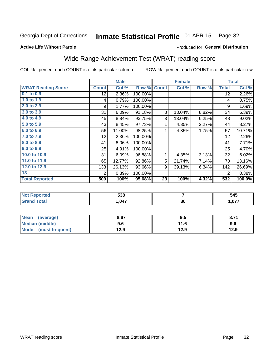#### Inmate Statistical Profile 01-APR-15 Page 32

#### **Active Life Without Parole**

### Produced for General Distribution

# Wide Range Achievement Test (WRAT) reading score

COL % - percent each COUNT is of its particular column

|                           |              | <b>Male</b> |         |              | <b>Female</b> |       |                | <b>Total</b> |
|---------------------------|--------------|-------------|---------|--------------|---------------|-------|----------------|--------------|
| <b>WRAT Reading Score</b> | <b>Count</b> | Col %       | Row %   | <b>Count</b> | Col %         | Row % | <b>Total</b>   | Col %        |
| 0.1 to 0.9                | 12           | 2.36%       | 100.00% |              |               |       | 12             | 2.26%        |
| 1.0 to 1.9                | 4            | 0.79%       | 100.00% |              |               |       | 4              | 0.75%        |
| 2.0 to 2.9                | 9            | 1.77%       | 100.00% |              |               |       | 9              | 1.69%        |
| 3.0 to 3.9                | 31           | 6.09%       | 91.18%  | 3            | 13.04%        | 8.82% | 34             | 6.39%        |
| 4.0 to 4.9                | 45           | 8.84%       | 93.75%  | 3            | 13.04%        | 6.25% | 48             | 9.02%        |
| 5.0 to 5.9                | 43           | 8.45%       | 97.73%  | 1            | 4.35%         | 2.27% | 44             | 8.27%        |
| 6.0 to 6.9                | 56           | 11.00%      | 98.25%  | 1            | 4.35%         | 1.75% | 57             | 10.71%       |
| 7.0 to 7.9                | 12           | 2.36%       | 100.00% |              |               |       | 12             | 2.26%        |
| 8.0 to 8.9                | 41           | 8.06%       | 100.00% |              |               |       | 41             | 7.71%        |
| 9.0 to 9.9                | 25           | 4.91%       | 100.00% |              |               |       | 25             | 4.70%        |
| 10.0 to 10.9              | 31           | 6.09%       | 96.88%  | 1            | 4.35%         | 3.13% | 32             | 6.02%        |
| 11.0 to 11.9              | 65           | 12.77%      | 92.86%  | 5            | 21.74%        | 7.14% | 70             | 13.16%       |
| 12.0 to 12.9              | 133          | 26.13%      | 93.66%  | 9            | 39.13%        | 6.34% | 142            | 26.69%       |
| 13                        | 2            | 0.39%       | 100.00% |              |               |       | $\overline{2}$ | 0.38%        |
| <b>Total Reported</b>     | 509          | 100%        | 95.68%  | 23           | 100%          | 4.32% | 532            | 100.0%       |

| <b>Not Reported</b> | 538  |           | 545   |
|---------------------|------|-----------|-------|
| <b>Total</b>        | ,047 | or.<br>ას | 1,077 |

| Mean<br>(average)      | 8.67 | 9.5  | 8.71 |
|------------------------|------|------|------|
| <b>Median (middle)</b> | 9.6  | 11.6 | 9.6  |
| Mode (most frequent)   | 12.9 | 12.9 | 12.9 |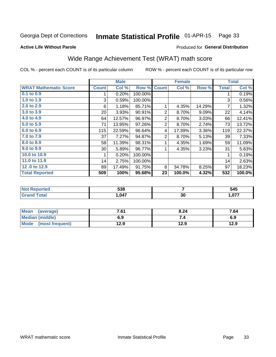#### Inmate Statistical Profile 01-APR-15 Page 33

### **Active Life Without Parole**

### Produced for General Distribution

# Wide Range Achievement Test (WRAT) math score

COL % - percent each COUNT is of its particular column

|                              |              | <b>Male</b> |         |                | <b>Female</b> |        |              | <b>Total</b> |
|------------------------------|--------------|-------------|---------|----------------|---------------|--------|--------------|--------------|
| <b>WRAT Mathematic Score</b> | <b>Count</b> | Col %       | Row %   | <b>Count</b>   | Col %         | Row %  | <b>Total</b> | Col %        |
| $0.1$ to $0.9$               |              | 0.20%       | 100.00% |                |               |        |              | 0.19%        |
| 1.0 to 1.9                   | 3            | 0.59%       | 100.00% |                |               |        | 3            | 0.56%        |
| 2.0 to 2.9                   | 6            | 1.18%       | 85.71%  |                | 4.35%         | 14.29% | 7            | 1.32%        |
| 3.0 to 3.9                   | 20           | 3.93%       | 90.91%  | 2              | 8.70%         | 9.09%  | 22           | 4.14%        |
| 4.0 to 4.9                   | 64           | 12.57%      | 96.97%  | $\overline{2}$ | 8.70%         | 3.03%  | 66           | 12.41%       |
| 5.0 to 5.9                   | 71           | 13.95%      | 97.26%  | 2              | 8.70%         | 2.74%  | 73           | 13.72%       |
| 6.0 to 6.9                   | 115          | 22.59%      | 96.64%  | 4              | 17.39%        | 3.36%  | 119          | 22.37%       |
| 7.0 to 7.9                   | 37           | 7.27%       | 94.87%  | 2              | 8.70%         | 5.13%  | 39           | 7.33%        |
| 8.0 to 8.9                   | 58           | 11.39%      | 98.31%  |                | 4.35%         | 1.69%  | 59           | 11.09%       |
| 9.0 to 9.9                   | 30           | 5.89%       | 96.77%  |                | 4.35%         | 3.23%  | 31           | 5.83%        |
| 10.0 to 10.9                 |              | 0.20%       | 100.00% |                |               |        | 1            | 0.19%        |
| 11.0 to 11.9                 | 14           | 2.75%       | 100.00% |                |               |        | 14           | 2.63%        |
| 12.0 to 12.9                 | 89           | 17.49%      | 91.75%  | 8              | 34.78%        | 8.25%  | 97           | 18.23%       |
| <b>Total Reported</b>        | 509          | 100%        | 95.68%  | 23             | 100.0%        | 4.32%  | 532          | 100.0%       |

| につの<br>ააი |    | 545    |
|------------|----|--------|
| .047       | 30 | $\sim$ |

| <b>Mean</b><br>(average)       | 7.61 | 8.24 | 7.64 |
|--------------------------------|------|------|------|
| Median (middle)                | 6.9  |      | 6.9  |
| <b>Mode</b><br>(most frequent) | 12.9 | 12.9 | 12.9 |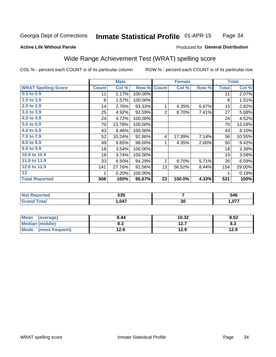#### Inmate Statistical Profile 01-APR-15 Page 34

#### **Active Life Without Parole**

### Produced for General Distribution

# Wide Range Achievement Test (WRAT) spelling score

COL % - percent each COUNT is of its particular column

|                            |              | <b>Male</b> |         | <b>Female</b>  |        |       | <b>Total</b> |        |
|----------------------------|--------------|-------------|---------|----------------|--------|-------|--------------|--------|
| <b>WRAT Spelling Score</b> | <b>Count</b> | Col %       | Row %   | <b>Count</b>   | Col %  | Row % | <b>Total</b> | Col %  |
| $0.1$ to $0.9$             | 11           | 2.17%       | 100.00% |                |        |       | 11           | 2.07%  |
| 1.0 to 1.9                 | 8            | 1.57%       | 100.00% |                |        |       | 8            | 1.51%  |
| 2.0 to 2.9                 | 14           | 2.76%       | 93.33%  | 1              | 4.35%  | 6.67% | 15           | 2.82%  |
| 3.0 to 3.9                 | 25           | 4.92%       | 92.59%  | 2              | 8.70%  | 7.41% | 27           | 5.08%  |
| 4.0 to 4.9                 | 24           | 4.72%       | 100.00% |                |        |       | 24           | 4.52%  |
| 5.0 to 5.9                 | 70           | 13.78%      | 100.00% |                |        |       | 70           | 13.18% |
| 6.0 to 6.9                 | 43           | 8.46%       | 100.00% |                |        |       | 43           | 8.10%  |
| 7.0 to 7.9                 | 52           | 10.24%      | 92.86%  | 4              | 17.39% | 7.14% | 56           | 10.55% |
| 8.0 to 8.9                 | 49           | 9.65%       | 98.00%  | 1              | 4.35%  | 2.00% | 50           | 9.42%  |
| 9.0 to 9.9                 | 18           | 3.54%       | 100.00% |                |        |       | 18           | 3.39%  |
| 10.0 to 10.9               | 19           | 3.74%       | 100.00% |                |        |       | 19           | 3.58%  |
| 11.0 to 11.9               | 33           | 6.50%       | 94.29%  | $\overline{2}$ | 8.70%  | 5.71% | 35           | 6.59%  |
| 12.0 to 12.9               | 141          | 27.76%      | 91.56%  | 13             | 56.52% | 8.44% | 154          | 29.00% |
| 13                         |              | 0.20%       | 100.00% |                |        |       | 1            | 0.19%  |
| <b>Total Reported</b>      | 508          | 100%        | 95.67%  | 23             | 100.0% | 4.33% | 531          | 100%   |

| <b>Not Reported</b> | 539  |    | 546            |
|---------------------|------|----|----------------|
| Total               | ,047 | 30 | 077<br>1.V / 1 |

| Mean (average)         | 8.44 | 10.32 | 8.52 |
|------------------------|------|-------|------|
| <b>Median (middle)</b> | 8.3  | 12.7  | 8.3  |
| Mode (most frequent)   | 12.9 | 12.9  | 12.9 |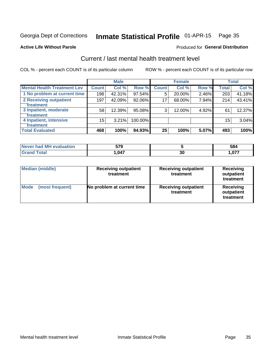# Inmate Statistical Profile 01-APR-15 Page 35

#### **Active Life Without Parole**

#### Produced for General Distribution

# Current / last mental health treatment level

COL % - percent each COUNT is of its particular column

|                                    |                 | <b>Male</b> |         |              | <b>Female</b> |       |              | <b>Total</b> |
|------------------------------------|-----------------|-------------|---------|--------------|---------------|-------|--------------|--------------|
| <b>Mental Health Treatment Lev</b> | <b>Count</b>    | Col %       | Row %   | <b>Count</b> | Col%          | Row % | <b>Total</b> | Col %        |
| 1 No problem at current time       | 198             | 42.31%      | 97.54%  | 5            | 20.00%        | 2.46% | 203          | 41.18%       |
| 2 Receiving outpatient             | 197             | 42.09%      | 92.06%  | 17           | 68.00%        | 7.94% | 214          | 43.41%       |
| <b>Treatment</b>                   |                 |             |         |              |               |       |              |              |
| 3 Inpatient, moderate              | 58 <sub>1</sub> | 12.39%      | 95.08%  | 3            | 12.00%        | 4.92% | 61           | 12.37%       |
| <b>Treatment</b>                   |                 |             |         |              |               |       |              |              |
| 4 Inpatient, intensive             | 15              | 3.21%       | 100.00% |              |               |       | 15           | 3.04%        |
| <b>Treatment</b>                   |                 |             |         |              |               |       |              |              |
| <b>Total Evaluated</b>             | 468             | 100%        | 94.93%  | 25           | 100%          | 5.07% | 493          | 100%         |

| Never had MH evaluation | 579   |            | 584  |
|-------------------------|-------|------------|------|
| Total                   | 1,047 | - 20<br>ას | ,077 |

| <b>Median (middle)</b>         | <b>Receiving outpatient</b><br>treatment | <b>Receiving outpatient</b><br>treatment | <b>Receiving</b><br>outpatient<br>treatment |  |
|--------------------------------|------------------------------------------|------------------------------------------|---------------------------------------------|--|
| <b>Mode</b><br>(most frequent) | No problem at current time               | <b>Receiving outpatient</b><br>treatment | <b>Receiving</b><br>outpatient<br>treatment |  |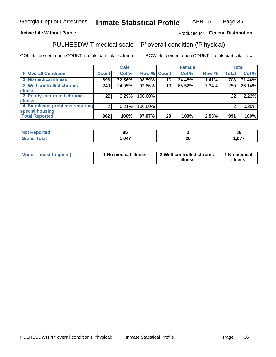#### Inmate Statistical Profile 01-APR-15 Page 36

### **Active Life Without Parole**

### Produced for General Distribution

# PULHESDWIT medical scale - 'P' overall condition ('P'hysical)

COL % - percent each COUNT is of its particular column

|                                  |                | <b>Male</b> |                    |                 | <b>Female</b> |       |              | <b>Total</b> |
|----------------------------------|----------------|-------------|--------------------|-----------------|---------------|-------|--------------|--------------|
| 'P' Overall Condition            | Count l        | Col %       | <b>Row % Count</b> |                 | Col %         | Row % | <b>Total</b> | Col %        |
| 1 No medical illness             | 698            | 72.56%      | 98.59%             | 10 <sub>1</sub> | 34.48%        | 1.41% | 708          | 71.44%       |
| 2 Well-controlled chronic        | 240            | 24.95%      | 92.66%             | 19              | 65.52%        | 7.34% | 259          | 26.14%       |
| <b>illness</b>                   |                |             |                    |                 |               |       |              |              |
| 3 Poorly-controlled chronic      | 22             | 2.29%       | 100.00%            |                 |               |       | 22           | 2.22%        |
| <b>illness</b>                   |                |             |                    |                 |               |       |              |              |
| 4 Significant problems requiring | 2 <sub>1</sub> | 0.21%       | 100.00%            |                 |               |       | 2            | 0.20%        |
| special housing                  |                |             |                    |                 |               |       |              |              |
| <b>Total Reported</b>            | 962            | 100%        | 97.07%             | 29              | 100%          | 2.93% | 991          | 100%         |

|      |          | $\alpha$<br>$\overline{\mathbf{C}}$ |
|------|----------|-------------------------------------|
| ,047 | 01<br>υc | ----                                |

| <b>Mode</b> | (most frequent) | 1 No medical illness | 2 Well-controlled chronic<br>illness | 1 No medical<br>illness |
|-------------|-----------------|----------------------|--------------------------------------|-------------------------|
|-------------|-----------------|----------------------|--------------------------------------|-------------------------|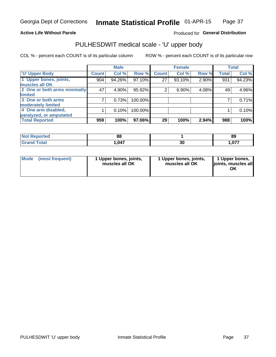### **Active Life Without Parole**

### Produced for General Distribution

# PULHESDWIT medical scale - 'U' upper body

COL % - percent each COUNT is of its particular column

|                              |              | <b>Male</b> |         |              | <b>Female</b> |       |              | <b>Total</b> |
|------------------------------|--------------|-------------|---------|--------------|---------------|-------|--------------|--------------|
| <b>U' Upper Body</b>         | <b>Count</b> | Col %       | Row %   | <b>Count</b> | Col %         | Row % | <b>Total</b> | Col %        |
| 1 Upper bones, joints,       | 904          | 94.26%      | 97.10%  | 27           | 93.10%        | 2.90% | 931          | 94.23%       |
| muscles all OK               |              |             |         |              |               |       |              |              |
| 2 One or both arms minimally | 47           | 4.90%       | 95.92%  | 2            | 6.90%         | 4.08% | 49           | 4.96%        |
| limited                      |              |             |         |              |               |       |              |              |
| 3 One or both arms           |              | 0.73%       | 100.00% |              |               |       |              | 0.71%        |
| moderately limited           |              |             |         |              |               |       |              |              |
| 4 One arm disabled,          |              | 0.10%       | 100.00% |              |               |       |              | 0.10%        |
| paralyzed, or amputated      |              |             |         |              |               |       |              |              |
| <b>Total Reported</b>        | 959          | 100%        | 97.06%  | 29           | 100%          | 2.94% | 988          | 100%         |

| <b>Not Reported</b> | n c<br>oo |    | 89       |
|---------------------|-----------|----|----------|
| <b>Total</b>        | .047      | ^^ | 077      |
| ا الله ا            |           | Jυ | I .U / 1 |

| <b>Mode</b> | (most frequent) | l Upper bones, joints,<br>muscles all OK | 1 Upper bones, joints,<br>muscles all OK | 1 Upper bones,<br>ljoints, muscles all |
|-------------|-----------------|------------------------------------------|------------------------------------------|----------------------------------------|
|-------------|-----------------|------------------------------------------|------------------------------------------|----------------------------------------|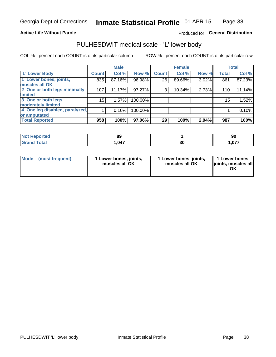### **Active Life Without Parole**

### Produced for General Distribution

## PULHESDWIT medical scale - 'L' lower body

COL % - percent each COUNT is of its particular column

|                                |              | <b>Male</b> |         |              | <b>Female</b> |       |              | <b>Total</b> |
|--------------------------------|--------------|-------------|---------|--------------|---------------|-------|--------------|--------------|
| 'L' Lower Body                 | <b>Count</b> | Col %       | Row %   | <b>Count</b> | Col %         | Row % | <b>Total</b> | Col %        |
| 1 Lower bones, joints,         | 835          | 87.16%      | 96.98%  | 26           | 89.66%        | 3.02% | 861          | 87.23%       |
| muscles all OK                 |              |             |         |              |               |       |              |              |
| 2 One or both legs minimally   | 107          | 11.17%      | 97.27%  | 3            | 10.34%        | 2.73% | 110          | 11.14%       |
| limited                        |              |             |         |              |               |       |              |              |
| 3 One or both legs             | $15\,$       | 1.57%       | 100.00% |              |               |       | 15           | 1.52%        |
| moderately limited             |              |             |         |              |               |       |              |              |
| 4 One leg disabled, paralyzed, |              | 0.10%       | 100.00% |              |               |       |              | 0.10%        |
| or amputated                   |              |             |         |              |               |       |              |              |
| <b>Total Reported</b>          | 958          | 100%        | 97.06%  | 29           | 100%          | 2.94% | 987          | 100%         |

| orted<br><b>NOT RELIGION</b><br>. <b>.</b> | n,<br>OJ |          | ດເ<br>่งเ    |
|--------------------------------------------|----------|----------|--------------|
| <b>Total</b>                               | 1,047    | ^^<br>งบ | 077<br>1.V77 |

| Mode | (most frequent) | 1 Lower bones, joints,<br>muscles all OK | 1 Lower bones, joints,<br>muscles all OK | 1 Lower bones,<br>ljoints, muscles all<br>OK |
|------|-----------------|------------------------------------------|------------------------------------------|----------------------------------------------|
|------|-----------------|------------------------------------------|------------------------------------------|----------------------------------------------|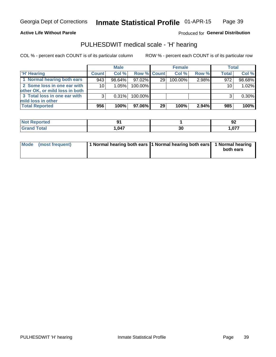#### **Active Life Without Parole**

Produced for General Distribution

### PULHESDWIT medical scale - 'H' hearing

COL % - percent each COUNT is of its particular column

|                                                               |              | <b>Male</b> |             |    | <b>Female</b> |       | <b>Total</b>    |        |
|---------------------------------------------------------------|--------------|-------------|-------------|----|---------------|-------|-----------------|--------|
| <b>H'</b> Hearing                                             | <b>Count</b> | Col%        | Row % Count |    | Col%          | Row % | Total           | Col %  |
| 1 Normal hearing both ears                                    | 943          | 98.64%      | 97.02%      | 29 | $100.00\%$    | 2.98% | 972             | 98.68% |
| 2 Some loss in one ear with<br>other OK, or mild loss in both | 10           | 1.05%       | 100.00%     |    |               |       | 10 <sub>1</sub> | 1.02%  |
| 3 Total loss in one ear with<br>mild loss in other            | 3            | 0.31%       | 100.00%     |    |               |       |                 | 0.30%  |
| <b>Total Reported</b>                                         | 956          | 100%        | 97.06%      | 29 | 100%          | 2.94% | 985             | 100%   |

| <b>ported</b><br><b>NOT</b> |           |    | JŁ                |
|-----------------------------|-----------|----|-------------------|
| <b>otal</b>                 | 1.047<br> | 30 | $\sim$<br>. . V I |

| Mode (most frequent) | 1 Normal hearing both ears 1 Normal hearing both ears 1 Normal hearing |           |
|----------------------|------------------------------------------------------------------------|-----------|
|                      |                                                                        | both ears |
|                      |                                                                        |           |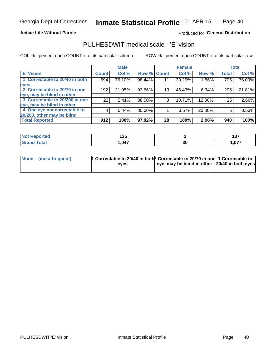### **Active Life Without Parole**

### Produced for General Distribution

### PULHESDWIT medical scale - 'E' vision

COL % - percent each COUNT is of its particular column

|                                |              | <b>Male</b> |        |              | <b>Female</b> |        |              | <b>Total</b> |
|--------------------------------|--------------|-------------|--------|--------------|---------------|--------|--------------|--------------|
| <b>E' Vision</b>               | <b>Count</b> | Col %       | Row %  | <b>Count</b> | Col %         | Row %  | <b>Total</b> | Col %        |
| 1 Correctable to 20/40 in both | 694          | 76.10%      | 98.44% | 11           | 39.29%        | 1.56%  | 705          | 75.00%       |
| eyes                           |              |             |        |              |               |        |              |              |
| 2 Correctable to 20/70 in one  | 192          | 21.05%      | 93.66% | 13           | 46.43%        | 6.34%  | 205          | 21.81%       |
| eye, may be blind in other     |              |             |        |              |               |        |              |              |
| 3 Correctable to 20/200 in one | 22           | 2.41%       | 88.00% | 3            | 10.71%        | 12.00% | 25           | 2.66%        |
| eye, may be blind in other     |              |             |        |              |               |        |              |              |
| 4 One eye not correctable to   | 4            | 0.44%       | 80.00% |              | 3.57%         | 20.00% | 5            | 0.53%        |
| 20/200, other may be blind     |              |             |        |              |               |        |              |              |
| <b>Total Reported</b>          | 912          | 100%        | 97.02% | 28           | 100%          | 2.98%  | 940          | 100%         |

| <b>orted</b><br><b>NOT REDUCT</b><br>$\sim$ | ィクに<br>טט ו |    | , , ,<br>. .<br>1 J I |
|---------------------------------------------|-------------|----|-----------------------|
| Total                                       | ,047        | 30 | 077                   |

| Mode (most frequent) | 1 Correctable to 20/40 in both 2 Correctable to 20/70 in one 1 Correctable to<br>eves | eye, may be blind in other 20/40 in both eyes |  |
|----------------------|---------------------------------------------------------------------------------------|-----------------------------------------------|--|
|                      |                                                                                       |                                               |  |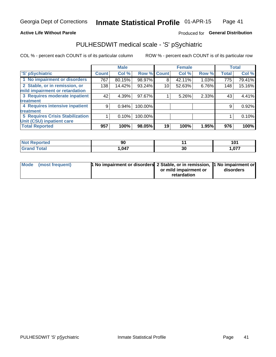### **Active Life Without Parole**

### Produced for General Distribution

# PULHESDWIT medical scale - 'S' pSychiatric

COL % - percent each COUNT is of its particular column

|                                        |              | <b>Male</b> |         |                 | <b>Female</b> |       |              | <b>Total</b> |
|----------------------------------------|--------------|-------------|---------|-----------------|---------------|-------|--------------|--------------|
| 'S' pSychiatric                        | <b>Count</b> | Col %       |         | Row % Count     | Col %         | Row % | <b>Total</b> | Col %        |
| 1 No impairment or disorders           | 767          | 80.15%      | 98.97%  | 8               | 42.11%        | 1.03% | 775          | 79.41%       |
| 2 Stable, or in remission, or          | 138          | 14.42%      | 93.24%  | 10              | 52.63%        | 6.76% | 148          | 15.16%       |
| mild impairment or retardation         |              |             |         |                 |               |       |              |              |
| 3 Requires moderate inpatient          | 42           | 4.39%       | 97.67%  |                 | 5.26%         | 2.33% | 43           | 4.41%        |
| treatment                              |              |             |         |                 |               |       |              |              |
| 4 Requires intensive inpatient         | 9            | 0.94%       | 100.00% |                 |               |       | 9            | 0.92%        |
| treatment                              |              |             |         |                 |               |       |              |              |
| <b>5 Requires Crisis Stabilization</b> |              | 0.10%       | 100.00% |                 |               |       |              | 0.10%        |
| Unit (CSU) inpatient care              |              |             |         |                 |               |       |              |              |
| <b>Total Reported</b>                  | 957          | 100%        | 98.05%  | 19 <sup>1</sup> | 100%          | 1.95% | 976          | 100%         |

| <b>Reported</b><br><b>NOT</b> | Ju   |    | 101<br>1 V I |
|-------------------------------|------|----|--------------|
| <b>Total</b>                  | ,047 | 30 | ,077         |

| Mode (most frequent) | <b>1 No impairment or disorders</b> 2 Stable, or in remission, 11 No impairment or |                       |           |
|----------------------|------------------------------------------------------------------------------------|-----------------------|-----------|
|                      |                                                                                    | or mild impairment or | disorders |
|                      |                                                                                    | retardation           |           |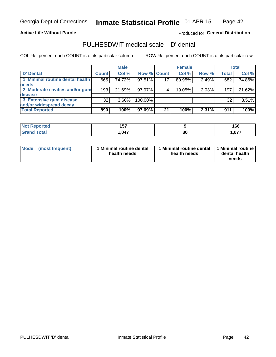**Active Life Without Parole** 

Produced for General Distribution

# PULHESDWIT medical scale - 'D' dental

COL % - percent each COUNT is of its particular column

|                                 |              | <b>Male</b> |                    |    | <b>Female</b> |       |              | <b>Total</b> |
|---------------------------------|--------------|-------------|--------------------|----|---------------|-------|--------------|--------------|
| 'D' Dental                      | <b>Count</b> | Col %       | <b>Row % Count</b> |    | Col %         | Row % | <b>Total</b> | Col %        |
| 1 Minimal routine dental health | 665          | 74.72%      | 97.51%             | 17 | 80.95%        | 2.49% | 682          | 74.86%       |
| <b>needs</b>                    |              |             |                    |    |               |       |              |              |
| 2 Moderate cavities and/or gum  | 193          | 21.69%      | 97.97%             |    | 19.05%        | 2.03% | 197          | 21.62%       |
| disease                         |              |             |                    |    |               |       |              |              |
| 3 Extensive gum disease         | 32           | $3.60\%$    | 100.00%            |    |               |       | 32           | 3.51%        |
| and/or widespread decay         |              |             |                    |    |               |       |              |              |
| <b>Total Reported</b>           | 890          | 100%        | 97.69%             | 21 | 100%          | 2.31% | 911          | 100%         |

| rtea   | .<br>וטו |          | 166 |
|--------|----------|----------|-----|
| $\sim$ | 047      | ^'<br>ას | 077 |

| <b>Mode</b><br><b>Minimal routine dental</b><br>(most frequent)<br>health needs | Minimal routine dental<br>health needs | 1 Minimal routine<br>dental health<br>needs |
|---------------------------------------------------------------------------------|----------------------------------------|---------------------------------------------|
|---------------------------------------------------------------------------------|----------------------------------------|---------------------------------------------|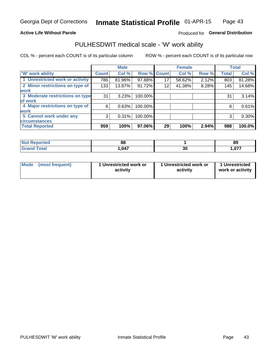### **Active Life Without Parole**

### Produced for General Distribution

### PULHESDWIT medical scale - 'W' work ability

COL % - percent each COUNT is of its particular column

|                                 |              | <b>Male</b> |         |             | <b>Female</b> |       |              | <b>Total</b> |
|---------------------------------|--------------|-------------|---------|-------------|---------------|-------|--------------|--------------|
| <b>W' work ability</b>          | <b>Count</b> | Col %       |         | Row % Count | Col %         | Row % | <b>Total</b> | Col %        |
| 1 Unrestricted work or activity | 786          | 81.96%      | 97.88%  | 17          | 58.62%        | 2.12% | 803          | 81.28%       |
| 2 Minor restrictions on type of | 133          | 13.87%      | 91.72%  | 12          | 41.38%        | 8.28% | 145          | 14.68%       |
| <b>work</b>                     |              |             |         |             |               |       |              |              |
| 3 Moderate restrictions on type | 31           | 3.23%       | 100.00% |             |               |       | 31           | 3.14%        |
| lof work                        |              |             |         |             |               |       |              |              |
| 4 Major restrictions on type of | 6            | 0.63%       | 100.00% |             |               |       | 6            | 0.61%        |
| <b>work</b>                     |              |             |         |             |               |       |              |              |
| 5 Cannot work under any         | 3            | 0.31%       | 100.00% |             |               |       | 3            | 0.30%        |
| <b>circumstances</b>            |              |             |         |             |               |       |              |              |
| <b>Total Reported</b>           | 959          | 100%        | 97.06%  | 29          | 100%          | 2.94% | 988          | 100.0%       |

| <b>Experience</b><br><b>NOT</b><br>Renoi | n.<br>oo   |         | 89              |
|------------------------------------------|------------|---------|-----------------|
| <b>Total</b>                             | <b>047</b> | ົ<br>งบ | 077<br>I .V / 1 |

| <b>Mode</b> | (most frequent) | 1 Unrestricted work or<br>activity | 1 Unrestricted work or<br>activity | 1 Unrestricted<br>work or activity |
|-------------|-----------------|------------------------------------|------------------------------------|------------------------------------|
|-------------|-----------------|------------------------------------|------------------------------------|------------------------------------|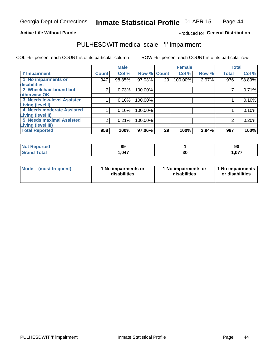#### **Active Life Without Parole**

### Produced for General Distribution

# PULHESDWIT medical scale - 'I' impairment

COL % - percent each COUNT is of its particular column ROW % - percent each COUNT is of its particular row

|                                                              |              | <b>Male</b> |             |    | <b>Female</b> |       | <b>Total</b> |        |
|--------------------------------------------------------------|--------------|-------------|-------------|----|---------------|-------|--------------|--------|
| <b>T' Impairment</b>                                         | <b>Count</b> | Col %       | Row % Count |    | Col %         | Row % | <b>Total</b> | Col %  |
| 1 No impairments or<br>disabilities                          | 947          | 98.85%      | 97.03%      | 29 | 100.00%       | 2.97% | 976          | 98.89% |
| 2 Wheelchair-bound but<br>otherwise OK                       |              | 0.73%       | 100.00%     |    |               |       |              | 0.71%  |
| <b>3 Needs low-level Assisted</b><br>Living (level I)        |              | 0.10%       | 100.00%     |    |               |       |              | 0.10%  |
| 4 Needs moderate Assisted<br>Living (level II)               |              | 0.10%       | 100.00%     |    |               |       |              | 0.10%  |
| <b>5 Needs maximal Assisted</b><br><b>Living (level III)</b> | 2            | 0.21%       | 100.00%     |    |               |       |              | 0.20%  |
| <b>Total Reported</b>                                        | 958          | 100%        | 97.06%      | 29 | 100%          | 2.94% | 987          | 100%   |

| orted      | 89   |    | 90   |
|------------|------|----|------|
| <b>ota</b> | ,047 | 30 | ,077 |

| Mode | (most frequent) | 1 No impairments or<br>disabilities | 1 No impairments or<br>disabilities | 1 No impairments<br>or disabilities |
|------|-----------------|-------------------------------------|-------------------------------------|-------------------------------------|
|------|-----------------|-------------------------------------|-------------------------------------|-------------------------------------|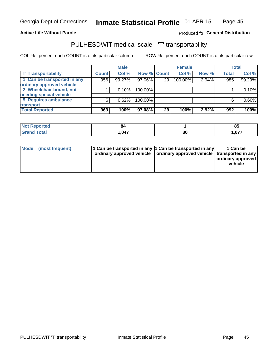### **Active Life Without Parole**

### Produced fo General Distribution

# PULHESDWIT medical scale - 'T' transportability

COL % - percent each COUNT is of its particular column

|                             |              | <b>Male</b> |             |    | <b>Female</b> |       |              | <b>Total</b> |
|-----------------------------|--------------|-------------|-------------|----|---------------|-------|--------------|--------------|
| <b>T' Transportability</b>  | <b>Count</b> | Col %       | Row % Count |    | Col %         | Row % | <b>Total</b> | Col %        |
| 1 Can be transported in any | 956          | 99.27%      | 97.06%      | 29 | 100.00%       | 2.94% | 985          | 99.29%       |
| ordinary approved vehicle   |              |             |             |    |               |       |              |              |
| 2 Wheelchair-bound, not     |              | 0.10%       | 100.00%     |    |               |       |              | 0.10%        |
| needing special vehicle     |              |             |             |    |               |       |              |              |
| 5 Requires ambulance        | 6            | 0.62%       | 100.00%     |    |               |       |              | 0.60%        |
| transport                   |              |             |             |    |               |       |              |              |
| <b>Total Reported</b>       | 963          | 100%        | 97.08%      | 29 | 100%          | 2.92% | 992          | 100%         |

| eported | 84   |    | Q.<br><b>O</b> J |
|---------|------|----|------------------|
|         | ,047 | 30 | 1,077            |

| Mode (most frequent) | 1 Can be transported in any 1 Can be transported in any | ordinary approved vehicle   ordinary approved vehicle   transported in any | 1 Can be<br>ordinary approved<br>vehicle |
|----------------------|---------------------------------------------------------|----------------------------------------------------------------------------|------------------------------------------|
|                      |                                                         |                                                                            |                                          |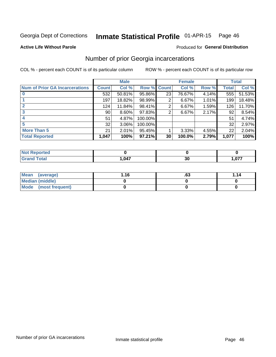#### Inmate Statistical Profile 01-APR-15 Page 46

#### **Active Life Without Parole**

#### Produced for General Distribution

### Number of prior Georgia incarcerations

COL % - percent each COUNT is of its particular column

|                                       |                 | <b>Male</b> |                    |    | <b>Female</b> | <b>Total</b> |       |        |
|---------------------------------------|-----------------|-------------|--------------------|----|---------------|--------------|-------|--------|
| <b>Num of Prior GA Incarcerations</b> | <b>Count</b>    | Col %       | <b>Row % Count</b> |    | Col %         | Row %        | Total | Col %  |
|                                       | 532             | 50.81%      | 95.86%             | 23 | 76.67%        | 4.14%        | 555   | 51.53% |
|                                       | 197             | 18.82%      | 98.99%             | 2  | 6.67%         | 1.01%        | 199   | 18.48% |
|                                       | 124             | 11.84%      | 98.41%             | 2  | 6.67%         | 1.59%        | 126   | 11.70% |
| 3                                     | 90 <sub>1</sub> | 8.60%       | 97.83%             | 2  | 6.67%         | 2.17%        | 92    | 8.54%  |
| 4                                     | 51              | 4.87%       | 100.00%            |    |               |              | 51    | 4.74%  |
| 5                                     | 32              | 3.06%       | 100.00%            |    |               |              | 32    | 2.97%  |
| <b>More Than 5</b>                    | 21              | 2.01%       | 95.45%             |    | 3.33%         | 4.55%        | 22    | 2.04%  |
| <b>Total Reported</b>                 | 1,047           | 100%        | 97.21%             | 30 | 100.0%        | 2.79%        | 1,077 | 100%   |

| rted<br><b>NOT</b> |       |   |                         |
|--------------------|-------|---|-------------------------|
| <b>otal</b>        | 1,047 | u | $\sim$ $\sim$<br>I .V 1 |

| Mean (average)       | 1.16 | .ט | 1.14 |
|----------------------|------|----|------|
| Median (middle)      |      |    |      |
| Mode (most frequent) |      |    |      |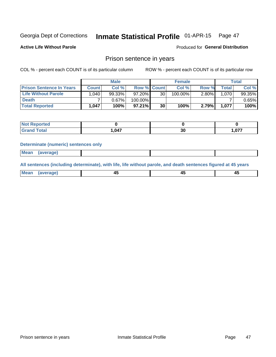#### Inmate Statistical Profile 01-APR-15 Page 47

**Active Life Without Parole** 

Produced for General Distribution

### Prison sentence in years

COL % - percent each COUNT is of its particular column

ROW % - percent each COUNT is of its particular row

|                                 | <b>Male</b> |        |                    | <b>Female</b> |         |          | Total       |        |
|---------------------------------|-------------|--------|--------------------|---------------|---------|----------|-------------|--------|
| <b>Prison Sentence In Years</b> | Count l     | Col %  | <b>Row % Count</b> |               | Col %   | Row %    | $\tau$ otal | Col %  |
| <b>Life Without Parole</b>      | 040.        | 99.33% | $97.20\%$          | 30            | 100.00% | $2.80\%$ | 1.070       | 99.35% |
| <b>Death</b>                    |             | 0.67%  | 100.00%            |               |         |          |             | 0.65%  |
| <b>Total Reported</b>           | 1,047       | 100%   | $97.21\%$          | 30            | 100%    | 2.79%    | 1,077       | 100%   |

| ported      |        |    |            |
|-------------|--------|----|------------|
| <b>otal</b> | 047. ا | 30 | 1.07<br>v/ |

### **Determinate (numeric) sentences only**

| 1112211 | <b>Mean</b> | Ane <sup>*</sup> |  |  |
|---------|-------------|------------------|--|--|

All sentences (including determinate), with life, life without parole, and death sentences figured at 45 years

| Me: |  |  |  |
|-----|--|--|--|
|     |  |  |  |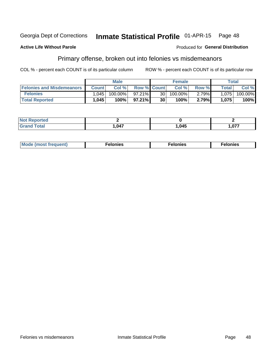#### Inmate Statistical Profile 01-APR-15 Georgia Dept of Corrections Page 48

#### **Active Life Without Parole**

#### Produced for General Distribution

## Primary offense, broken out into felonies vs misdemeanors

COL % - percent each COUNT is of its particular column

|                                  |              | <b>Male</b> |                    |    | <b>Female</b> |        | Total        |         |
|----------------------------------|--------------|-------------|--------------------|----|---------------|--------|--------------|---------|
| <b>Felonies and Misdemeanors</b> | <b>Count</b> | Col%        | <b>Row % Count</b> |    | Col%          | Row %  | <b>Total</b> | Col %   |
| <b>Felonies</b>                  | 1.045        | 100.00%     | $97.21\%$          | 30 | 100.00%       | 2.79%  | 1.075        | 100.00% |
| <b>Total Reported</b>            | 1,045        | 100%        | $97.21\%$          | 30 | 100%          | 2.79%) | 1,075        | 100%    |

| <b>Not Reported</b>   |      |       |                 |
|-----------------------|------|-------|-----------------|
| Total<br><b>Grand</b> | .047 | 1,045 | $\sim$<br>1.V / |

| <b>Mode</b><br>frequent)<br>nies<br>≧ (most tr.<br>. | onies<br>. | lonies<br>ею<br>____ |
|------------------------------------------------------|------------|----------------------|
|------------------------------------------------------|------------|----------------------|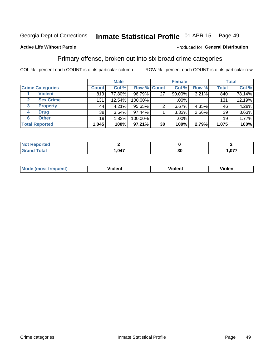#### Inmate Statistical Profile 01-APR-15 Page 49

### **Active Life Without Parole**

### Produced for General Distribution

### Primary offense, broken out into six broad crime categories

COL % - percent each COUNT is of its particular column

|                                  |              | <b>Male</b> |           |                    | <b>Female</b> |       |              | <b>Total</b> |
|----------------------------------|--------------|-------------|-----------|--------------------|---------------|-------|--------------|--------------|
| <b>Crime Categories</b>          | <b>Count</b> | Col %       |           | <b>Row % Count</b> | Col %         | Row % | <b>Total</b> | Col %        |
| <b>Violent</b>                   | 813          | 77.80%      | 96.79%    | 27                 | 90.00%        | 3.21% | 840          | 78.14%       |
| <b>Sex Crime</b><br>$\mathbf{2}$ | 131          | 12.54%      | 100.00%   |                    | .00%          |       | 131          | 12.19%       |
| <b>Property</b><br>3             | 44           | 4.21%       | $95.65\%$ |                    | 6.67%         | 4.35% | 46           | 4.28%        |
| <b>Drug</b><br>4                 | 38           | 3.64%       | 97.44%    |                    | 3.33%         | 2.56% | 39           | 3.63%        |
| <b>Other</b><br>6                | 19           | $.82\%$     | 100.00%   |                    | .00%          |       | 19           | 1.77%        |
| <b>Total Reported</b>            | 1,045        | 100%        | 97.21%    | 30                 | 100%          | 2.79% | 1,075        | 100%         |

| <b>Not Reported</b> |      |    |     |
|---------------------|------|----|-----|
| <b>Total</b>        | ,047 | 21 | 077 |
| Grand               |      | งบ | יש. |

| M | . | 40 O |
|---|---|------|
|   |   |      |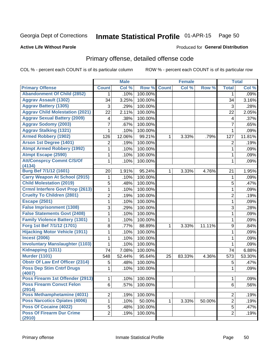#### Inmate Statistical Profile 01-APR-15 Page 50

#### **Active Life Without Parole**

### **Produced for General Distribution**

### Primary offense, detailed offense code

COL % - percent each COUNT is of its particular column

|                                            |                | <b>Male</b> |         |              | <b>Female</b> |        |                         | <b>Total</b> |
|--------------------------------------------|----------------|-------------|---------|--------------|---------------|--------|-------------------------|--------------|
| <b>Primary Offense</b>                     | <b>Count</b>   | Col %       | Row %   | <b>Count</b> | Col %         | Row %  | <b>Total</b>            | Col %        |
| <b>Abandonment Of Child (2852)</b>         | 1              | .10%        | 100.00% |              |               |        | 1                       | .09%         |
| <b>Aggrav Assault (1302)</b>               | 34             | 3.25%       | 100.00% |              |               |        | 34                      | 3.16%        |
| <b>Aggrav Battery (1305)</b>               | 3              | .29%        | 100.00% |              |               |        | 3                       | .28%         |
| <b>Aggrav Child Molestation (2021)</b>     | 22             | 2.11%       | 100.00% |              |               |        | 22                      | 2.05%        |
| <b>Aggrav Sexual Battery (2009)</b>        | 4              | .38%        | 100.00% |              |               |        | $\overline{\mathbf{4}}$ | .37%         |
| <b>Aggrav Sodomy (2003)</b>                | 7              | .67%        | 100.00% |              |               |        | $\overline{7}$          | .65%         |
| <b>Aggrav Stalking (1321)</b>              | 1              | .10%        | 100.00% |              |               |        | $\mathbf{1}$            | .09%         |
| <b>Armed Robbery (1902)</b>                | 126            | 12.06%      | 99.21%  | 1            | 3.33%         | .79%   | 127                     | 11.81%       |
| Arson 1st Degree (1401)                    | 2              | .19%        | 100.00% |              |               |        | 2                       | .19%         |
| <b>Atmpt Armed Robbery (1992)</b>          | 1              | .10%        | 100.00% |              |               |        | $\mathbf{1}$            | .09%         |
| <b>Atmpt Escape (2590)</b>                 | 1              | .10%        | 100.00% |              |               |        | 1                       | .09%         |
| <b>Att/Consprcy Commt C/S/Of</b><br>(4134) | 1              | .10%        | 100.00% |              |               |        | 1                       | .09%         |
| <b>Burg Bef 7/1/12 (1601)</b>              | 20             | 1.91%       | 95.24%  | 1            | 3.33%         | 4.76%  | 21                      | 1.95%        |
| <b>Carry Weapon At School (2915)</b>       | 1              | .10%        | 100.00% |              |               |        | 1                       | .09%         |
| <b>Child Molestation (2019)</b>            | 5              | .48%        | 100.00% |              |               |        | 5                       | .47%         |
| <b>Crmnl Interfere Govt Prop (2613)</b>    | $\mathbf 1$    | .10%        | 100.00% |              |               |        | $\mathbf{1}$            | .09%         |
| <b>Cruelty To Children (2801)</b>          | 2              | .19%        | 100.00% |              |               |        | $\overline{2}$          | .19%         |
| <b>Escape (2501)</b>                       | $\mathbf{1}$   | .10%        | 100.00% |              |               |        | 1                       | .09%         |
| <b>False Imprisonment (1308)</b>           | 3              | .29%        | 100.00% |              |               |        | 3                       | .28%         |
| <b>False Statements Govt (2408)</b>        | 1              | .10%        | 100.00% |              |               |        | 1                       | .09%         |
| <b>Family Violence Battery (1301)</b>      | 1              | .10%        | 100.00% |              |               |        | 1                       | .09%         |
| Forg 1st Bef 7/1/12 (1701)                 | 8              | .77%        | 88.89%  | 1            | 3.33%         | 11.11% | 9                       | .84%         |
| <b>Hijacking Motor Vehicle (1911)</b>      | 1              | .10%        | 100.00% |              |               |        | 1                       | .09%         |
| <b>Incest (2006)</b>                       | 1              | .10%        | 100.00% |              |               |        | $\mathbf{1}$            | .09%         |
| <b>Involuntary Manslaughter (1103)</b>     | 1              | .10%        | 100.00% |              |               |        | $\mathbf{1}$            | .09%         |
| Kidnapping (1311)                          | 74             | 7.08%       | 100.00% |              |               |        | 74                      | 6.88%        |
| <b>Murder (1101)</b>                       | 548            | 52.44%      | 95.64%  | 25           | 83.33%        | 4.36%  | 573                     | 53.30%       |
| <b>Obstr Of Law Enf Officer (2314)</b>     | 5              | .48%        | 100.00% |              |               |        | 5                       | .47%         |
| <b>Poss Dep Stim Cntrf Drugs</b><br>(4007) | 1              | .10%        | 100.00% |              |               |        | $\mathbf 1$             | .09%         |
| Poss Firearm 1st Offender (2913)           | $\mathbf{1}$   | .10%        | 100.00% |              |               |        | 1                       | .09%         |
| <b>Poss Firearm Convct Felon</b><br>(2914) | 6              | .57%        | 100.00% |              |               |        | 6                       | .56%         |
| Poss Methamphetamine (4031)                | $\overline{2}$ | .19%        | 100.00% |              |               |        | $\overline{2}$          | .19%         |
| <b>Poss Narcotics Opiates (4006)</b>       | $\mathbf 1$    | .10%        | 50.00%  | $\mathbf{1}$ | 3.33%         | 50.00% | $\overline{2}$          | .19%         |
| Poss Of Cocaine (4022)                     | 5              | .48%        | 100.00% |              |               |        | 5                       | .47%         |
| <b>Poss Of Firearm Dur Crime</b><br>(2910) | $\overline{2}$ | .19%        | 100.00% |              |               |        | $\overline{2}$          | .19%         |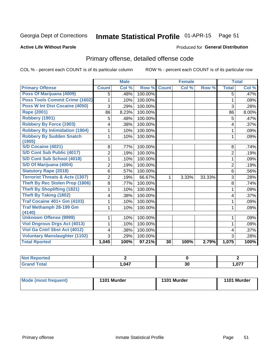#### Inmate Statistical Profile 01-APR-15 Page 51

#### **Active Life Without Parole**

#### Produced for General Distribution

# Primary offense, detailed offense code

COL % - percent each COUNT is of its particular column

|                                            |                | <b>Male</b> |         |              | <b>Female</b> |        |                | <b>Total</b> |
|--------------------------------------------|----------------|-------------|---------|--------------|---------------|--------|----------------|--------------|
| <b>Primary Offense</b>                     | <b>Count</b>   | Col %       | Row %   | <b>Count</b> | Col %         | Row %  | <b>Total</b>   | Col %        |
| Poss Of Marijuana (4009)                   | 5              | .48%        | 100.00% |              |               |        | 5              | .47%         |
| Poss Tools Commit Crime (1602)             | 1              | .10%        | 100.00% |              |               |        | 1              | .09%         |
| Poss W Int Dist Cocaine (4050)             | 3              | .29%        | 100.00% |              |               |        | 3              | .28%         |
| Rape (2001)                                | 86             | 8.23%       | 100.00% |              |               |        | 86             | 8.00%        |
| Robbery (1901)                             | 5              | .48%        | 100.00% |              |               |        | 5              | .47%         |
| <b>Robbery By Force (1903)</b>             | 4              | .38%        | 100.00% |              |               |        | 4              | .37%         |
| <b>Robbery By Intimidation (1904)</b>      |                | .10%        | 100.00% |              |               |        | 1              | .09%         |
| <b>Robbery By Sudden Snatch</b>            | 1              | .10%        | 100.00% |              |               |        | 1              | .09%         |
| (1905)                                     |                |             |         |              |               |        |                |              |
| S/D Cocaine (4021)                         | 8              | .77%        | 100.00% |              |               |        | 8              | .74%         |
| S/D Cont Sub Public (4017)                 | 2              | .19%        | 100.00% |              |               |        | $\overline{2}$ | .19%         |
| S/D Cont Sub School (4018)                 | 1              | .10%        | 100.00% |              |               |        | 1              | .09%         |
| S/D Of Marijuana (4004)                    | $\overline{2}$ | .19%        | 100.00% |              |               |        | $\overline{2}$ | .19%         |
| <b>Statutory Rape (2018)</b>               | 6              | .57%        | 100.00% |              |               |        | 6              | .56%         |
| <b>Terrorist Threats &amp; Acts (1307)</b> | $\overline{2}$ | .19%        | 66.67%  | 1            | 3.33%         | 33.33% | 3              | .28%         |
| Theft By Rec Stolen Prop (1806)            | 8              | .77%        | 100.00% |              |               |        | 8              | .74%         |
| <b>Theft By Shoplifting (1821)</b>         | 1              | .10%        | 100.00% |              |               |        | 1              | .09%         |
| Theft By Taking (1802)                     | 4              | .38%        | 100.00% |              |               |        | 4              | .37%         |
| <b>Traf Cocaine 401+ Gm (4103)</b>         | 1              | .10%        | 100.00% |              |               |        | 1              | .09%         |
| <b>Traf Methamph 28-199 Gm</b><br>(4140)   | 1              | .10%        | 100.00% |              |               |        | 1              | .09%         |
| <b>Unknown Offense (9999)</b>              | 1              | .10%        | 100.00% |              |               |        | 1              | .09%         |
| <b>Viol Dngrous Drgs Act (4013)</b>        | 1              | .10%        | 100.00% |              |               |        | 1              | .09%         |
| Viol Ga Cntrl Sbst Act (4012)              | 4              | .38%        | 100.00% |              |               |        | 4              | .37%         |
| <b>Voluntary Manslaughter (1102)</b>       | 3              | .29%        | 100.00% |              |               |        | 3              | .28%         |
| <b>Total Rported</b>                       | 1,045          | 100%        | 97.21%  | 30           | 100%          | 2.79%  | 1,075          | 100%         |

| <b>Reported</b>     |      |    |       |
|---------------------|------|----|-------|
| <b>Total</b><br>Gra | .047 | 30 | . 077 |

| <b>Mode (most frequent)</b> | 1101 Murder | 1101 Murder | 1101 Murder |
|-----------------------------|-------------|-------------|-------------|
|                             |             |             |             |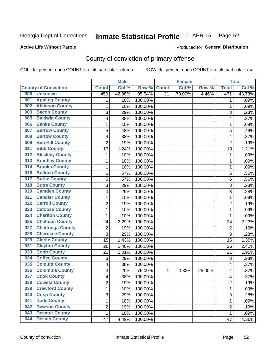# Inmate Statistical Profile 01-APR-15 Page 52

**Produced for General Distribution** 

### **Active Life Without Parole**

# County of conviction of primary offense

COL % - percent each COUNT is of its particular column

|     |                             |                | <b>Male</b> |         |                 | <b>Female</b> |        |                | <b>Total</b> |
|-----|-----------------------------|----------------|-------------|---------|-----------------|---------------|--------|----------------|--------------|
|     | <b>County of Conviction</b> | <b>Count</b>   | Col%        | Row %   | <b>Count</b>    | Col %         | Row %  | <b>Total</b>   | Col %        |
| 000 | <b>Unknown</b>              | 450            | 42.98%      | 95.54%  | $\overline{21}$ | 70.00%        | 4.46%  | 471            | 43.73%       |
| 001 | <b>Appling County</b>       | 1              | .10%        | 100.00% |                 |               |        | 1              | .09%         |
| 002 | <b>Atkinson County</b>      | $\mathbf{1}$   | .10%        | 100.00% |                 |               |        | 1              | .09%         |
| 003 | <b>Bacon County</b>         | 3              | .29%        | 100.00% |                 |               |        | 3              | .28%         |
| 005 | <b>Baldwin County</b>       | 4              | .38%        | 100.00% |                 |               |        | 4              | .37%         |
| 006 | <b>Banks County</b>         | 1              | .10%        | 100.00% |                 |               |        | 1              | .09%         |
| 007 | <b>Barrow County</b>        | 5              | .48%        | 100.00% |                 |               |        | 5              | .46%         |
| 008 | <b>Bartow County</b>        | 4              | .38%        | 100.00% |                 |               |        | 4              | .37%         |
| 009 | <b>Ben Hill County</b>      | $\overline{2}$ | .19%        | 100.00% |                 |               |        | $\overline{2}$ | .19%         |
| 011 | <b>Bibb County</b>          | 13             | 1.24%       | 100.00% |                 |               |        | 13             | 1.21%        |
| 012 | <b>Bleckley County</b>      | $\mathbf{1}$   | .10%        | 100.00% |                 |               |        | 1              | .09%         |
| 013 | <b>Brantley County</b>      | 1              | .10%        | 100.00% |                 |               |        | $\mathbf 1$    | .09%         |
| 014 | <b>Brooks County</b>        | $\mathbf{1}$   | .10%        | 100.00% |                 |               |        | $\mathbf 1$    | .09%         |
| 016 | <b>Bulloch County</b>       | 6              | .57%        | 100.00% |                 |               |        | 6              | .56%         |
| 017 | <b>Burke County</b>         | 6              | .57%        | 100.00% |                 |               |        | 6              | .56%         |
| 018 | <b>Butts County</b>         | 3              | .29%        | 100.00% |                 |               |        | 3              | .28%         |
| 020 | <b>Camden County</b>        | 3              | .29%        | 100.00% |                 |               |        | 3              | .28%         |
| 021 | <b>Candler County</b>       | 1              | .10%        | 100.00% |                 |               |        | 1              | .09%         |
| 022 | <b>Carroll County</b>       | $\overline{2}$ | .19%        | 100.00% |                 |               |        | $\overline{2}$ | .19%         |
| 023 | <b>Catoosa County</b>       | 1              | .10%        | 100.00% |                 |               |        | 1              | .09%         |
| 024 | <b>Charlton County</b>      | $\mathbf{1}$   | .10%        | 100.00% |                 |               |        | $\mathbf 1$    | .09%         |
| 025 | <b>Chatham County</b>       | 24             | 2.29%       | 100.00% |                 |               |        | 24             | 2.23%        |
| 027 | <b>Chattooga County</b>     | $\overline{c}$ | .19%        | 100.00% |                 |               |        | $\overline{2}$ | .19%         |
| 028 | <b>Cherokee County</b>      | 3              | .29%        | 100.00% |                 |               |        | 3              | .28%         |
| 029 | <b>Clarke County</b>        | 15             | 1.43%       | 100.00% |                 |               |        | 15             | 1.39%        |
| 031 | <b>Clayton County</b>       | 26             | 2.48%       | 100.00% |                 |               |        | 26             | 2.41%        |
| 033 | <b>Cobb County</b>          | 21             | 2.01%       | 100.00% |                 |               |        | 21             | 1.95%        |
| 034 | <b>Coffee County</b>        | 3              | .29%        | 100.00% |                 |               |        | 3              | .28%         |
| 035 | <b>Colquitt County</b>      | 4              | .38%        | 100.00% |                 |               |        | 4              | .37%         |
| 036 | <b>Columbia County</b>      | 3              | .29%        | 75.00%  | 1               | 3.33%         | 25.00% | 4              | .37%         |
| 037 | <b>Cook County</b>          | 4              | .38%        | 100.00% |                 |               |        | 4              | .37%         |
| 038 | <b>Coweta County</b>        | 2              | .19%        | 100.00% |                 |               |        | 2              | .19%         |
| 039 | <b>Crawford County</b>      | 1              | .10%        | 100.00% |                 |               |        | $\mathbf{1}$   | .09%         |
| 040 | <b>Crisp County</b>         | 3              | .29%        | 100.00% |                 |               |        | 3              | .28%         |
| 041 | <b>Dade County</b>          | 1              | .10%        | 100.00% |                 |               |        | $\mathbf 1$    | .09%         |
| 042 | <b>Dawson County</b>        | $\overline{2}$ | .19%        | 100.00% |                 |               |        | $\overline{c}$ | .19%         |
| 043 | <b>Decatur County</b>       | 1              | .10%        | 100.00% |                 |               |        | $\mathbf{1}$   | .09%         |
| 044 | <b>Dekalb County</b>        | 47             | 4.49%       | 100.00% |                 |               |        | 47             | 4.36%        |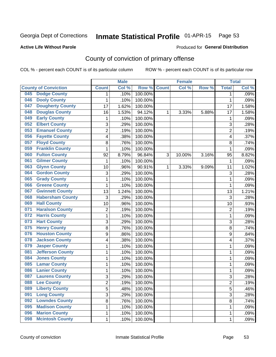# Inmate Statistical Profile 01-APR-15 Page 53

### **Active Life Without Parole**

#### Produced for General Distribution

# County of conviction of primary offense

COL % - percent each COUNT is of its particular column

|                                |                 | <b>Male</b> |         |              | <b>Female</b> |       |                         | <b>Total</b> |
|--------------------------------|-----------------|-------------|---------|--------------|---------------|-------|-------------------------|--------------|
| <b>County of Conviction</b>    | <b>Count</b>    | Col %       | Row %   | <b>Count</b> | Col %         | Row % | <b>Total</b>            | Col %        |
| <b>Dodge County</b><br>045     | 1               | .10%        | 100.00% |              |               |       | 1                       | .09%         |
| <b>Dooly County</b><br>046     | 1               | .10%        | 100.00% |              |               |       | $\mathbf{1}$            | .09%         |
| <b>Dougherty County</b><br>047 | $\overline{17}$ | 1.62%       | 100.00% |              |               |       | 17                      | 1.58%        |
| <b>Douglas County</b><br>048   | 16              | 1.53%       | 94.12%  | 1            | 3.33%         | 5.88% | 17                      | 1.58%        |
| <b>Early County</b><br>049     | 1               | .10%        | 100.00% |              |               |       | 1                       | .09%         |
| <b>Elbert County</b><br>052    | 3               | .29%        | 100.00% |              |               |       | 3                       | .28%         |
| <b>Emanuel County</b><br>053   | $\overline{2}$  | .19%        | 100.00% |              |               |       | $\overline{2}$          | .19%         |
| <b>Fayette County</b><br>056   | 4               | .38%        | 100.00% |              |               |       | 4                       | .37%         |
| <b>Floyd County</b><br>057     | 8               | .76%        | 100.00% |              |               |       | 8                       | .74%         |
| <b>Franklin County</b><br>059  | 1               | .10%        | 100.00% |              |               |       | 1                       | .09%         |
| <b>Fulton County</b><br>060    | 92              | 8.79%       | 96.84%  | 3            | 10.00%        | 3.16% | 95                      | 8.82%        |
| <b>Gilmer County</b><br>061    | 1               | .10%        | 100.00% |              |               |       | 1                       | .09%         |
| <b>Glynn County</b><br>063     | 10              | .96%        | 90.91%  | 1            | 3.33%         | 9.09% | 11                      | 1.02%        |
| <b>Gordon County</b><br>064    | 3               | .29%        | 100.00% |              |               |       | 3                       | .28%         |
| <b>Grady County</b><br>065     | 1               | .10%        | 100.00% |              |               |       | 1                       | .09%         |
| <b>Greene County</b><br>066    | 1               | .10%        | 100.00% |              |               |       | 1                       | .09%         |
| <b>Gwinnett County</b><br>067  | 13              | 1.24%       | 100.00% |              |               |       | 13                      | 1.21%        |
| <b>Habersham County</b><br>068 | 3               | .29%        | 100.00% |              |               |       | 3                       | .28%         |
| <b>Hall County</b><br>069      | 10              | .96%        | 100.00% |              |               |       | 10                      | .93%         |
| <b>Haralson County</b><br>071  | $\overline{2}$  | .19%        | 100.00% |              |               |       | $\overline{2}$          | .19%         |
| <b>Harris County</b><br>072    | 1               | .10%        | 100.00% |              |               |       | 1                       | .09%         |
| <b>Hart County</b><br>073      | 3               | .29%        | 100.00% |              |               |       | 3                       | .28%         |
| <b>Henry County</b><br>075     | 8               | .76%        | 100.00% |              |               |       | 8                       | .74%         |
| <b>Houston County</b><br>076   | 9               | .86%        | 100.00% |              |               |       | 9                       | .84%         |
| <b>Jackson County</b><br>078   | 4               | .38%        | 100.00% |              |               |       | 4                       | .37%         |
| <b>Jasper County</b><br>079    | 1               | .10%        | 100.00% |              |               |       | 1                       | .09%         |
| <b>Jefferson County</b><br>081 | 1               | .10%        | 100.00% |              |               |       | 1                       | .09%         |
| <b>Jones County</b><br>084     | 1               | .10%        | 100.00% |              |               |       | 1                       | .09%         |
| <b>Lamar County</b><br>085     | 1               | .10%        | 100.00% |              |               |       | 1                       | .09%         |
| <b>Lanier County</b><br>086    | 1               | .10%        | 100.00% |              |               |       | 1                       | .09%         |
| <b>Laurens County</b><br>087   | 3               | .29%        | 100.00% |              |               |       | 3                       | .28%         |
| 088<br><b>Lee County</b>       | 2               | .19%        | 100.00% |              |               |       | $\overline{\mathbf{c}}$ | .19%         |
| <b>Liberty County</b><br>089   | $\overline{5}$  | .48%        | 100.00% |              |               |       | $\overline{5}$          | .46%         |
| <b>Long County</b><br>091      | $\overline{3}$  | .29%        | 100.00% |              |               |       | 3                       | .28%         |
| <b>Lowndes County</b><br>092   | 8               | .76%        | 100.00% |              |               |       | 8                       | .74%         |
| <b>Madison County</b><br>095   | 1               | .10%        | 100.00% |              |               |       | 1                       | .09%         |
| <b>Marion County</b><br>096    | 1               | .10%        | 100.00% |              |               |       | 1                       | .09%         |
| <b>Mcintosh County</b><br>098  | 1               | .10%        | 100.00% |              |               |       | 1                       | .09%         |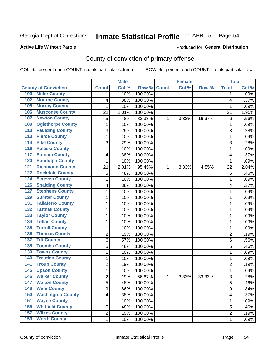# Inmate Statistical Profile 01-APR-15 Page 54

### **Active Life Without Parole**

#### Produced for General Distribution

# County of conviction of primary offense

COL % - percent each COUNT is of its particular column

|                                            |                | <b>Male</b> |         |              | <b>Female</b> |        |                | <b>Total</b> |
|--------------------------------------------|----------------|-------------|---------|--------------|---------------|--------|----------------|--------------|
| <b>County of Conviction</b>                | <b>Count</b>   | Col %       | Row %   | <b>Count</b> | Col %         | Row %  | <b>Total</b>   | Col %        |
| <b>Miller County</b><br>100                | 1              | .10%        | 100.00% |              |               |        | 1              | .09%         |
| <b>Monroe County</b><br>102                | 4              | .38%        | 100.00% |              |               |        | 4              | .37%         |
| <b>Murray County</b><br>105                | 1              | .10%        | 100.00% |              |               |        | 1              | .09%         |
| <b>Muscogee County</b><br>106              | 21             | 2.01%       | 100.00% |              |               |        | 21             | 1.95%        |
| <b>Newton County</b><br>107                | 5              | .48%        | 83.33%  | 1            | 3.33%         | 16.67% | 6              | .56%         |
| <b>Oglethorpe County</b><br>109            | 1              | .10%        | 100.00% |              |               |        | 1              | .09%         |
| <b>Paulding County</b><br>110              | 3              | .29%        | 100.00% |              |               |        | 3              | .28%         |
| <b>Pierce County</b><br>113                | 1              | .10%        | 100.00% |              |               |        | $\mathbf 1$    | .09%         |
| <b>Pike County</b><br>114                  | 3              | .29%        | 100.00% |              |               |        | 3              | .28%         |
| <b>Pulaski County</b><br>116               | 1              | .10%        | 100.00% |              |               |        | 1              | .09%         |
| <b>Putnam County</b><br>117                | 4              | .38%        | 100.00% |              |               |        | 4              | .37%         |
| <b>Randolph County</b><br>120              | 1              | .10%        | 100.00% |              |               |        | 1              | .09%         |
| <b>Richmond County</b><br>$\overline{121}$ | 21             | 2.01%       | 95.45%  | 1            | 3.33%         | 4.55%  | 22             | 2.04%        |
| <b>Rockdale County</b><br>122              | 5              | .48%        | 100.00% |              |               |        | 5              | .46%         |
| <b>Screven County</b><br>124               | 1              | .10%        | 100.00% |              |               |        | 1              | .09%         |
| <b>Spalding County</b><br>126              | 4              | .38%        | 100.00% |              |               |        | 4              | .37%         |
| <b>Stephens County</b><br>127              | 1              | .10%        | 100.00% |              |               |        | 1              | .09%         |
| <b>Sumter County</b><br>129                | 1              | .10%        | 100.00% |              |               |        | 1              | .09%         |
| <b>Taliaferro County</b><br>131            | 1              | .10%        | 100.00% |              |               |        | 1              | .09%         |
| <b>Tattnall County</b><br>132              | 1              | .10%        | 100.00% |              |               |        | 1              | .09%         |
| <b>Taylor County</b><br>133                | 1              | .10%        | 100.00% |              |               |        | 1              | .09%         |
| <b>Telfair County</b><br>134               | 1              | .10%        | 100.00% |              |               |        | $\mathbf 1$    | .09%         |
| <b>Terrell County</b><br>135               | 1              | .10%        | 100.00% |              |               |        | 1              | .09%         |
| <b>Thomas County</b><br>136                | $\overline{c}$ | .19%        | 100.00% |              |               |        | $\overline{2}$ | .19%         |
| <b>Tift County</b><br>137                  | 6              | .57%        | 100.00% |              |               |        | 6              | .56%         |
| <b>Toombs County</b><br>138                | 5              | .48%        | 100.00% |              |               |        | 5              | .46%         |
| <b>Towns County</b><br>139                 | 1              | .10%        | 100.00% |              |               |        | 1              | .09%         |
| <b>Treutlen County</b><br>140              | 1              | .10%        | 100.00% |              |               |        | 1              | .09%         |
| <b>Troup County</b><br>141                 | $\overline{2}$ | .19%        | 100.00% |              |               |        | $\overline{2}$ | .19%         |
| <b>Upson County</b><br>145                 | 1              | .10%        | 100.00% |              |               |        | $\mathbf 1$    | .09%         |
| <b>Walker County</b><br>146                | $\overline{2}$ | .19%        | 66.67%  | 1            | 3.33%         | 33.33% | 3              | .28%         |
| 147<br><b>Walton County</b>                | 5              | .48%        | 100.00% |              |               |        | 5              | .46%         |
| <b>Ware County</b><br>148                  | 9              | .86%        | 100.00% |              |               |        | 9              | .84%         |
| <b>Washington County</b><br>150            | 4              | .38%        | 100.00% |              |               |        | 4              | .37%         |
| <b>Wayne County</b><br>151                 | 1              | .10%        | 100.00% |              |               |        | $\mathbf{1}$   | .09%         |
| <b>Whitfield County</b><br>155             | 5              | .48%        | 100.00% |              |               |        | 5              | .46%         |
| <b>Wilkes County</b><br>157                | $\overline{c}$ | .19%        | 100.00% |              |               |        | $\overline{c}$ | .19%         |
| <b>Worth County</b><br>159                 | 1              | .10%        | 100.00% |              |               |        | 1              | .09%         |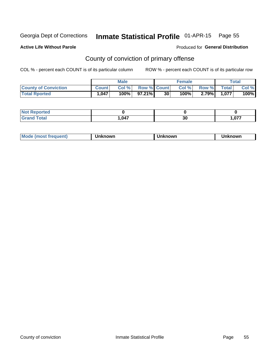# Inmate Statistical Profile 01-APR-15 Page 55

#### **Active Life Without Parole**

#### Produced for General Distribution

# County of conviction of primary offense

COL % - percent each COUNT is of its particular column

|                             | <b>Male</b>  |       |                    | <b>Female</b>   |         |       | $\tau$ otal  |       |
|-----------------------------|--------------|-------|--------------------|-----------------|---------|-------|--------------|-------|
| <b>County of Conviction</b> | <b>Count</b> | Col % | <b>Row % Count</b> |                 | Col %   | Row % | <b>Total</b> | Col % |
| <b>Total Rported</b>        | 1.047        | 100%  | 97.21%             | 30 <sub>1</sub> | $100\%$ | 2.79% | 1.077        | 100%  |

| oorted?<br>NOT F    |      |    |      |
|---------------------|------|----|------|
| <b>Total</b><br>Cro | .047 | 30 | ,077 |

| <b>Mode</b><br>(most frequent) | Unknown | Unknown | 'nknown |
|--------------------------------|---------|---------|---------|
|--------------------------------|---------|---------|---------|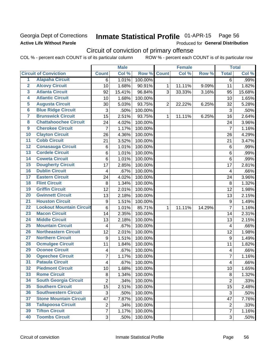### Georgia Dept of Corrections **Active Life Without Parole**

#### Inmate Statistical Profile 01-APR-15 Page 56

Produced for General Distribution

# Circuit of conviction of primary offense

COL % - percent each COUNT is of its particular column ROW % - percent each COUNT is of its particular row

|                         |                                 |                  | <b>Male</b> |         |                | <b>Female</b> |        | <b>Total</b>            |        |
|-------------------------|---------------------------------|------------------|-------------|---------|----------------|---------------|--------|-------------------------|--------|
|                         | <b>Circuit of Conviction</b>    | <b>Count</b>     | Col %       | Row %   | <b>Count</b>   | Col%          | Row %  | <b>Total</b>            | Col %  |
| 1                       | <b>Alapaha Circuit</b>          | 6                | 1.01%       | 100.00% |                |               |        | $\overline{6}$          | .99%   |
| $\overline{2}$          | <b>Alcovy Circuit</b>           | 10               | 1.68%       | 90.91%  | 1              | 11.11%        | 9.09%  | 11                      | 1.82%  |
| $\overline{\mathbf{3}}$ | <b>Atlanta Circuit</b>          | 92               | 15.41%      | 96.84%  | 3              | 33.33%        | 3.16%  | 95                      | 15.68% |
| 4                       | <b>Atlantic Circuit</b>         | 10               | 1.68%       | 100.00% |                |               |        | 10                      | 1.65%  |
| 5                       | <b>Augusta Circuit</b>          | 30               | 5.03%       | 93.75%  | $\overline{2}$ | 22.22%        | 6.25%  | 32                      | 5.28%  |
| 6                       | <b>Blue Ridge Circuit</b>       | 3                | .50%        | 100.00% |                |               |        | 3                       | .50%   |
| 7                       | <b>Brunswick Circuit</b>        | $\overline{15}$  | 2.51%       | 93.75%  | $\mathbf{1}$   | 11.11%        | 6.25%  | 16                      | 2.64%  |
| $\overline{\mathbf{8}}$ | <b>Chattahoochee Circuit</b>    | 24               | 4.02%       | 100.00% |                |               |        | 24                      | 3.96%  |
| $\overline{9}$          | <b>Cherokee Circuit</b>         | $\overline{7}$   | 1.17%       | 100.00% |                |               |        | $\overline{7}$          | 1.16%  |
| 10                      | <b>Clayton Circuit</b>          | 26               | 4.36%       | 100.00% |                |               |        | 26                      | 4.29%  |
| $\overline{11}$         | <b>Cobb Circuit</b>             | 21               | 3.52%       | 100.00% |                |               |        | 21                      | 3.47%  |
| $\overline{12}$         | <b>Conasauga Circuit</b>        | 6                | 1.01%       | 100.00% |                |               |        | $\,6$                   | .99%   |
| 13                      | <b>Cordele Circuit</b>          | 6                | 1.01%       | 100.00% |                |               |        | 6                       | .99%   |
| $\overline{14}$         | <b>Coweta Circuit</b>           | $\overline{6}$   | 1.01%       | 100.00% |                |               |        | $\,6$                   | .99%   |
| $\overline{15}$         | <b>Dougherty Circuit</b>        | 17               | 2.85%       | 100.00% |                |               |        | 17                      | 2.81%  |
| 16                      | <b>Dublin Circuit</b>           | 4                | .67%        | 100.00% |                |               |        | 4                       | .66%   |
| 17                      | <b>Eastern Circuit</b>          | 24               | 4.02%       | 100.00% |                |               |        | 24                      | 3.96%  |
| 18                      | <b>Flint Circuit</b>            | 8                | 1.34%       | 100.00% |                |               |        | 8                       | 1.32%  |
| 19                      | <b>Griffin Circuit</b>          | 12               | 2.01%       | 100.00% |                |               |        | 12                      | 1.98%  |
| 20                      | <b>Gwinnett Circuit</b>         | 13               | 2.18%       | 100.00% |                |               |        | 13                      | 2.15%  |
| $\overline{21}$         | <b>Houston Circuit</b>          | $\boldsymbol{9}$ | 1.51%       | 100.00% |                |               |        | $\mathsf g$             | 1.49%  |
| $\overline{22}$         | <b>Lookout Mountain Circuit</b> | $\,6$            | 1.01%       | 85.71%  | 1              | 11.11%        | 14.29% | $\overline{7}$          | 1.16%  |
| 23                      | <b>Macon Circuit</b>            | 14               | 2.35%       | 100.00% |                |               |        | 14                      | 2.31%  |
| $\overline{24}$         | <b>Middle Circuit</b>           | 13               | 2.18%       | 100.00% |                |               |        | 13                      | 2.15%  |
| $\overline{25}$         | <b>Mountain Circuit</b>         | 4                | .67%        | 100.00% |                |               |        | 4                       | .66%   |
| 26                      | <b>Northeastern Circuit</b>     | 12               | 2.01%       | 100.00% |                |               |        | 12                      | 1.98%  |
| $\overline{27}$         | <b>Northern Circuit</b>         | 9                | 1.51%       | 100.00% |                |               |        | $\boldsymbol{9}$        | 1.49%  |
| 28                      | <b>Ocmulgee Circuit</b>         | 11               | 1.84%       | 100.00% |                |               |        | 11                      | 1.82%  |
| 29                      | <b>Oconee Circuit</b>           | 4                | .67%        | 100.00% |                |               |        | $\overline{\mathbf{4}}$ | .66%   |
| 30                      | <b>Ogeechee Circuit</b>         | $\overline{7}$   | 1.17%       | 100.00% |                |               |        | $\overline{7}$          | 1.16%  |
| $\overline{31}$         | <b>Pataula Circuit</b>          | 4                | .67%        | 100.00% |                |               |        | $\overline{\mathbf{4}}$ | .66%   |
| 32                      | <b>Piedmont Circuit</b>         | 10               | 1.68%       | 100.00% |                |               |        | 10                      | 1.65%  |
| 33                      | <b>Rome Circuit</b>             | 8                | 1.34%       | 100.00% |                |               |        | 8                       | 1.32%  |
| 34                      | <b>South Georgia Circuit</b>    | $\overline{2}$   | .34%        | 100.00% |                |               |        | $\overline{2}$          | .33%   |
| 35                      | <b>Southern Circuit</b>         | 15               | 2.51%       | 100.00% |                |               |        | 15                      | 2.48%  |
| 36                      | <b>Southwestern Circuit</b>     | 3                | .50%        | 100.00% |                |               |        | 3                       | .50%   |
| 37                      | <b>Stone Mountain Circuit</b>   | 47               | 7.87%       | 100.00% |                |               |        | 47                      | 7.76%  |
| 38                      | <b>Tallapoosa Circuit</b>       | $\overline{2}$   | .34%        | 100.00% |                |               |        | $\overline{c}$          | .33%   |
| 39                      | <b>Tifton Circuit</b>           | $\overline{7}$   | 1.17%       | 100.00% |                |               |        | $\overline{7}$          | 1.16%  |
| 40                      | <b>Toombs Circuit</b>           | 3                | .50%        | 100.00% |                |               |        | 3                       | .50%   |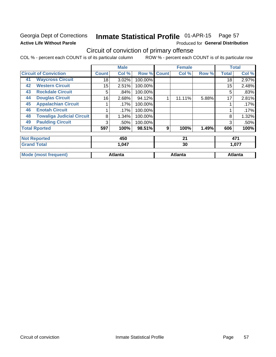### Georgia Dept of Corrections **Active Life Without Parole**

#### Inmate Statistical Profile 01-APR-15 Page 57

Produced for General Distribution

# Circuit of conviction of primary offense

COL % - percent each COUNT is of its particular column ROW % - percent each COUNT is of its particular row

|                                        |                 | <b>Male</b>    |         |              | <b>Female</b>  |       |              | <b>Total</b>   |  |
|----------------------------------------|-----------------|----------------|---------|--------------|----------------|-------|--------------|----------------|--|
| <b>Circuit of Conviction</b>           | <b>Count</b>    | Col %          | Row %   | <b>Count</b> | Col %          | Row % | <b>Total</b> | Col %          |  |
| <b>Waycross Circuit</b><br>41          | 18              | 3.02%          | 100.00% |              |                |       | 18           | 2.97%          |  |
| <b>Western Circuit</b><br>42           | 15 <sub>2</sub> | 2.51%          | 100.00% |              |                |       | 15           | 2.48%          |  |
| <b>Rockdale Circuit</b><br>43          | 5               | .84%           | 100.00% |              |                |       | 5            | .83%           |  |
| <b>Douglas Circuit</b><br>44           | 16              | 2.68%          | 94.12%  | 1            | 11.11%         | 5.88% | 17           | 2.81%          |  |
| <b>Appalachian Circuit</b><br>45       |                 | .17%           | 100.00% |              |                |       |              | .17%           |  |
| <b>Enotah Circuit</b><br>46            |                 | .17%           | 100.00% |              |                |       |              | .17%           |  |
| <b>Towaliga Judicial Circuit</b><br>48 | 8               | 1.34%          | 100.00% |              |                |       | 8            | 1.32%          |  |
| <b>Paulding Circuit</b><br>49          | 3               | .50%           | 100.00% |              |                |       | 3            | .50%           |  |
| <b>Total Rported</b>                   | 597             | 100%           | 98.51%  | 9            | 100%           | 1.49% | 606          | 100%           |  |
| <b>Not Reported</b>                    |                 | 450            |         |              | 21             |       |              | 471            |  |
| <b>Grand Total</b>                     |                 | 1,047          |         |              | 30             |       |              | 1,077          |  |
| <b>Mode (most frequent)</b>            |                 | <b>Atlanta</b> |         |              | <b>Atlanta</b> |       |              | <b>Atlanta</b> |  |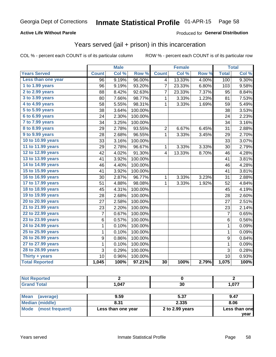### **Active Life Without Parole**

### Produced for General Distribution

### Years served (jail + prison) in this incarceration

COL % - percent each COUNT is of its particular column

|                        | <b>Male</b>     |       | Female  |                 |        | <b>Total</b> |                |       |
|------------------------|-----------------|-------|---------|-----------------|--------|--------------|----------------|-------|
| <b>Years Served</b>    | <b>Count</b>    | Col % | Row %   | <b>Count</b>    | Col %  | Row %        | <b>Total</b>   | Col % |
| Less than one year     | $\overline{96}$ | 9.19% | 96.00%  | 4               | 13.33% | 4.00%        | 100            | 9.30% |
| 1 to 1.99 years        | 96              | 9.19% | 93.20%  | 7               | 23.33% | 6.80%        | 103            | 9.58% |
| 2 to 2.99 years        | 88              | 8.42% | 92.63%  | 7               | 23.33% | 7.37%        | 95             | 8.84% |
| 3 to 3.99 years        | 80              | 7.66% | 98.77%  | 1               | 3.33%  | 1.23%        | 81             | 7.53% |
| 4 to 4.99 years        | 58              | 5.55% | 98.31%  | 1               | 3.33%  | 1.69%        | 59             | 5.49% |
| 5 to 5.99 years        | 38              | 3.64% | 100.00% |                 |        |              | 38             | 3.53% |
| 6 to 6.99 years        | 24              | 2.30% | 100.00% |                 |        |              | 24             | 2.23% |
| 7 to 7.99 years        | 34              | 3.25% | 100.00% |                 |        |              | 34             | 3.16% |
| <b>8 to 8.99 years</b> | 29              | 2.78% | 93.55%  | $\overline{2}$  | 6.67%  | 6.45%        | 31             | 2.88% |
| 9 to 9.99 years        | 28              | 2.68% | 96.55%  | 1               | 3.33%  | 3.45%        | 29             | 2.70% |
| 10 to 10.99 years      | 33              | 3.16% | 100.00% |                 |        |              | 33             | 3.07% |
| 11 to 11.99 years      | 29              | 2.78% | 96.67%  | 1               | 3.33%  | 3.33%        | 30             | 2.79% |
| 12 to 12.99 years      | 42              | 4.02% | 91.30%  | 4               | 13.33% | 8.70%        | 46             | 4.28% |
| 13 to 13.99 years      | 41              | 3.92% | 100.00% |                 |        |              | 41             | 3.81% |
| 14 to 14.99 years      | 46              | 4.40% | 100.00% |                 |        |              | 46             | 4.28% |
| 15 to 15.99 years      | 41              | 3.92% | 100.00% |                 |        |              | 41             | 3.81% |
| 16 to 16.99 years      | 30              | 2.87% | 96.77%  | 1               | 3.33%  | 3.23%        | 31             | 2.88% |
| 17 to 17.99 years      | 51              | 4.88% | 98.08%  | 1               | 3.33%  | 1.92%        | 52             | 4.84% |
| 18 to 18.99 years      | 45              | 4.31% | 100.00% |                 |        |              | 45             | 4.19% |
| 19 to 19.99 years      | 28              | 2.68% | 100.00% |                 |        |              | 28             | 2.60% |
| 20 to 20.99 years      | 27              | 2.58% | 100.00% |                 |        |              | 27             | 2.51% |
| 21 to 21.99 years      | 23              | 2.20% | 100.00% |                 |        |              | 23             | 2.14% |
| 22 to 22.99 years      | 7               | 0.67% | 100.00% |                 |        |              | $\overline{7}$ | 0.65% |
| 23 to 23.99 years      | 6               | 0.57% | 100.00% |                 |        |              | 6              | 0.56% |
| 24 to 24.99 years      | 1               | 0.10% | 100.00% |                 |        |              | 1              | 0.09% |
| 25 to 25.99 years      | 1               | 0.10% | 100.00% |                 |        |              | 1              | 0.09% |
| 26 to 26.99 years      | 9               | 0.86% | 100.00% |                 |        |              | 9              | 0.84% |
| 27 to 27.99 years      | $\mathbf 1$     | 0.10% | 100.00% |                 |        |              | $\mathbf 1$    | 0.09% |
| 28 to 28.99 years      | 3               | 0.29% | 100.00% |                 |        |              | 3              | 0.28% |
| Thirty + years         | 10              | 0.96% | 100.00% |                 |        |              | 10             | 0.93% |
| <b>Total Reported</b>  | 1,045           | 100%  | 97.21%  | $\overline{30}$ | 100%   | 2.79%        | 1,075          | 100%  |

| <b>Not Reported</b>      |                    |                 |               |
|--------------------------|--------------------|-----------------|---------------|
| <b>Grand Total</b>       | 1.047              | 30              | 1,077         |
|                          |                    |                 |               |
| <b>Mean</b><br>(average) | 9.59               | 5.37            | 9.47          |
| <b>Median (middle)</b>   | 8.31               | 2.335           | 8.06          |
| Mode<br>(most frequent)  | Less than one year | 2 to 2.99 years | Less than one |
|                          |                    |                 | vear          |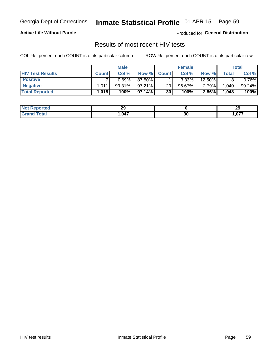#### Inmate Statistical Profile 01-APR-15 Page 59

### **Active Life Without Parole**

Produced for General Distribution

### Results of most recent HIV tests

COL % - percent each COUNT is of its particular column

|                         | <b>Male</b>       |           |           | <b>Female</b>   | Total     |          |              |        |
|-------------------------|-------------------|-----------|-----------|-----------------|-----------|----------|--------------|--------|
| <b>HIV Test Results</b> | <b>Count</b>      | Col%      | Row %     | <b>Count</b>    | Col %     | Row %    | <b>Total</b> | Col %  |
| <b>Positive</b>         |                   | 0.69%     | 87.50%    |                 | $3.33\%$  | 12.50%   |              | 0.76%  |
| <b>Negative</b>         | .011              | $99.31\%$ | $97.21\%$ | 29 <sub>1</sub> | $96.67\%$ | $2.79\%$ | 1,040        | 99.24% |
| <b>Total Reported</b>   | $.018$ $^{\circ}$ | $100\%$   | 97.14%I   | 30              | 100%      | 2.86%    | 1,048        | 100%   |

| <b>Not</b><br><b>Reported</b> | 29   |    | າເ<br>25 |
|-------------------------------|------|----|----------|
| <b>i</b> otal<br>. Grec       | ,047 | 30 | .077     |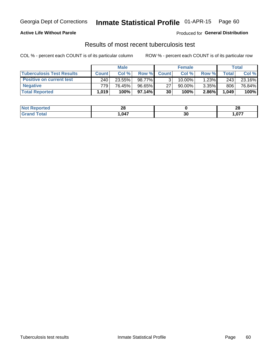### **Active Life Without Parole**

**Produced for General Distribution** 

## Results of most recent tuberculosis test

COL % - percent each COUNT is of its particular column

|                                  | <b>Male</b>  |        |           | <b>Female</b> |           |        | Total   |        |
|----------------------------------|--------------|--------|-----------|---------------|-----------|--------|---------|--------|
| <b>Tuberculosis Test Results</b> | <b>Count</b> | Col%   | Row %I    | <b>Count</b>  | Col %     | Row %I | Total I | Col %  |
| <b>Positive on current test</b>  | 240          | 23.55% | 98.77%    |               | $10.00\%$ | 1.23%  | 243     | 23.16% |
| <b>Negative</b>                  | 779          | 76.45% | 96.65%    | 27            | 90.00%    | 3.35%  | 806     | 76.84% |
| <b>Total Reported</b>            | 1.019        | 100%   | $97.14\%$ | 30            | 100%      | 2.86%  | 1,049   | 100%   |

| <b>Not Reported</b> | ሳር<br>20 |    | e c<br>Zu |
|---------------------|----------|----|-----------|
| <b>Total</b>        | ,047     | 30 | ,077      |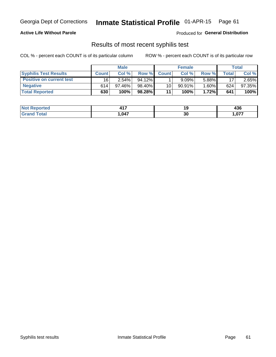# Georgia Dept of Corrections **Inmate Statistical Profile** 01-APR-15 Page 61

### **Active Life Without Parole**

Produced for **General Distribution**

### Results of most recent syphilis test

COL % - percent each COUNT is of its particular column ROW % - percent each COUNT is of its particular row

|                                 | <b>Male</b>  |           |           | <b>Female</b> |           |          | Total |        |
|---------------------------------|--------------|-----------|-----------|---------------|-----------|----------|-------|--------|
| <b>Syphilis Test Results</b>    | <b>Count</b> | Col %     | Row %     | <b>Count</b>  | Col %     | Row %I   | Total | Col %  |
| <b>Positive on current test</b> | 16           | $2.54\%$  | $94.12\%$ |               | 9.09%     | 5.88%    | 17    | 2.65%  |
| <b>Negative</b>                 | 614          | $97.46\%$ | 98.40%    | 10            | $90.91\%$ | $1.60\%$ | 624   | 97.35% |
| <b>Total Reported</b>           | 630          | 100%      | 98.28%    | 11            | 100%      | 1.72%    | 641   | 100%   |

| <b>Not Reported</b> | 11 7<br>– 17 |    | "^^<br>430 |
|---------------------|--------------|----|------------|
| <b>Total</b>        | ,047         | 30 | 077,       |